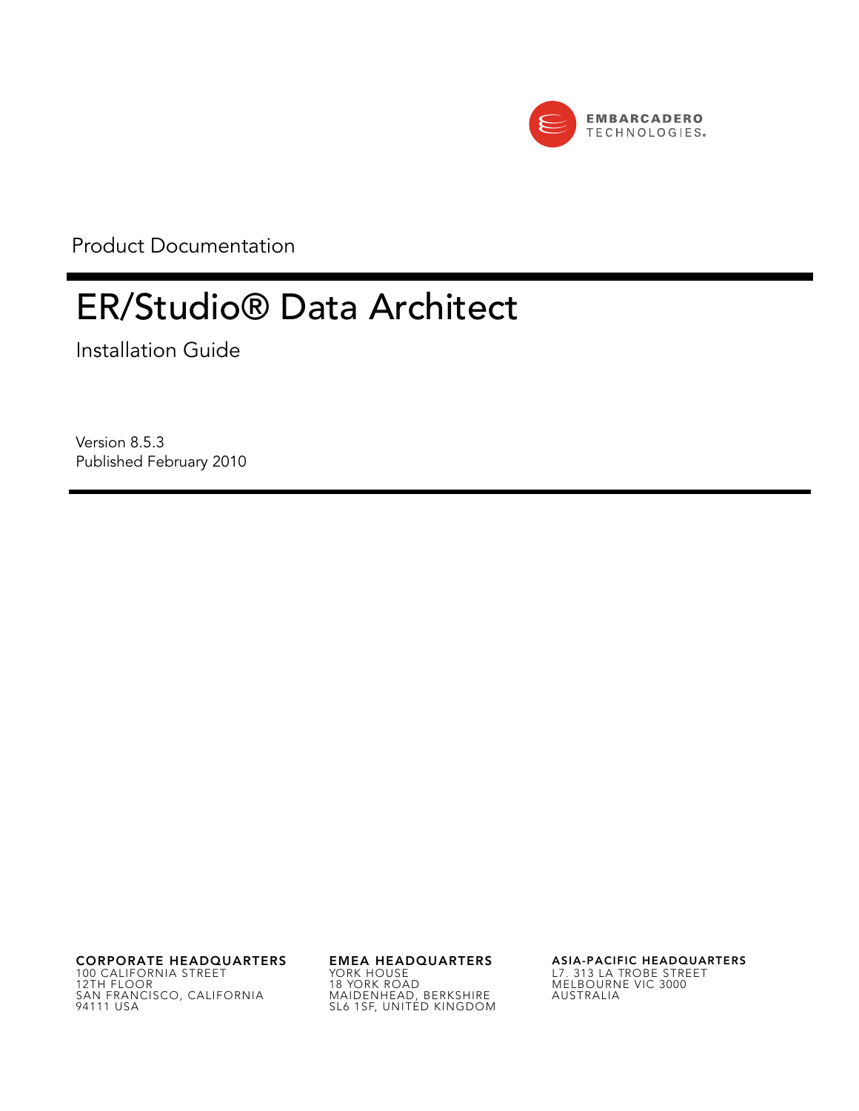

Product Documentation

# ER/Studio® Data Architect

Installation Guide

Version 8.5.3 Published February 2010

**CORPORATE HEADQUARTERS EMEA HEADQUARTERS ASIA-PACIFIC HEADQUARTERS** 100 CALIFORNIA STREET 12TH FLOOR SAN FRANCISCO, CALIFORNIA 94111 USA

YORK HOUSE 18 YORK ROAD MAIDENHEAD, BERKSHIRE SL6 1SF, UNITED KINGDOM

L7. 313 LA TROBE STREET MELBOURNE VIC 3000 AUSTRALIA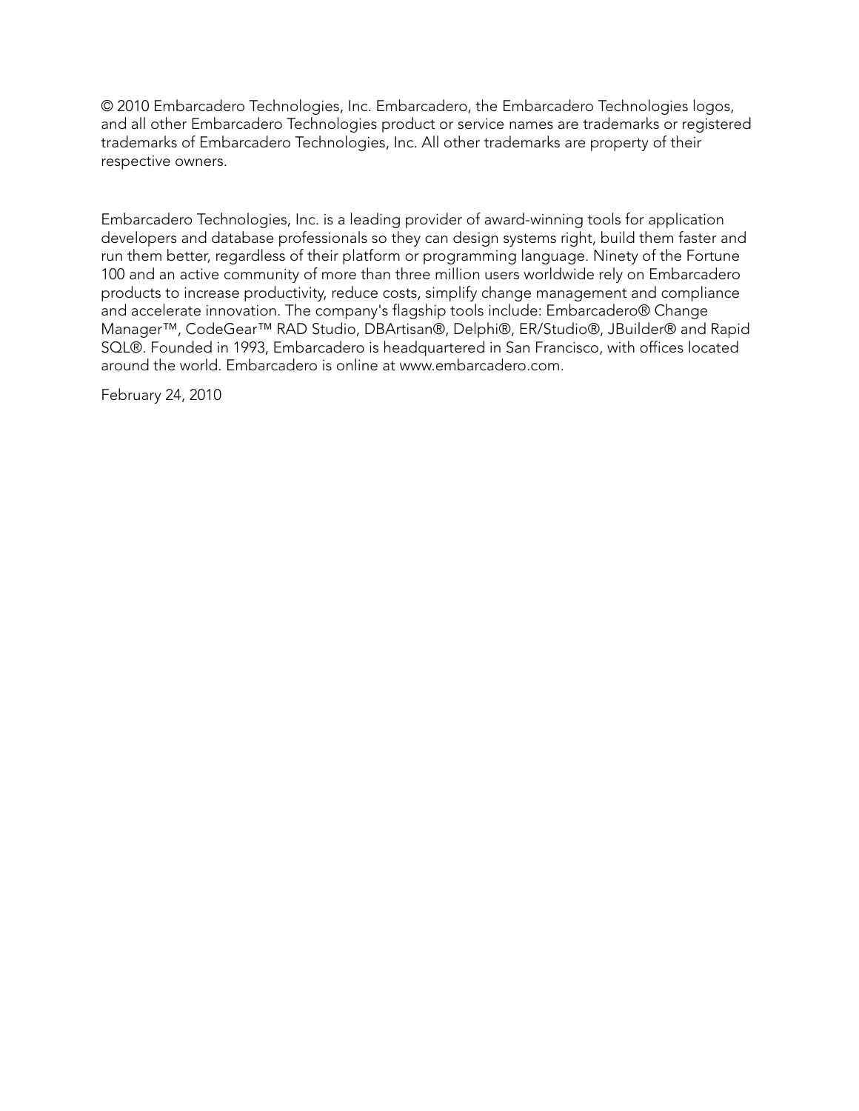© 2010 Embarcadero Technologies, Inc. Embarcadero, the Embarcadero Technologies logos, and all other Embarcadero Technologies product or service names are trademarks or registered trademarks of Embarcadero Technologies, Inc. All other trademarks are property of their respective owners.

Embarcadero Technologies, Inc. is a leading provider of award-winning tools for application developers and database professionals so they can design systems right, build them faster and run them better, regardless of their platform or programming language. Ninety of the Fortune 100 and an active community of more than three million users worldwide rely on Embarcadero products to increase productivity, reduce costs, simplify change management and compliance and accelerate innovation. The company's flagship tools include: Embarcadero® Change Manager™, CodeGear™ RAD Studio, DBArtisan®, Delphi®, ER/Studio®, JBuilder® and Rapid SQL®. Founded in 1993, Embarcadero is headquartered in San Francisco, with offices located around the world. Embarcadero is online at www.embarcadero.com.

February 24, 2010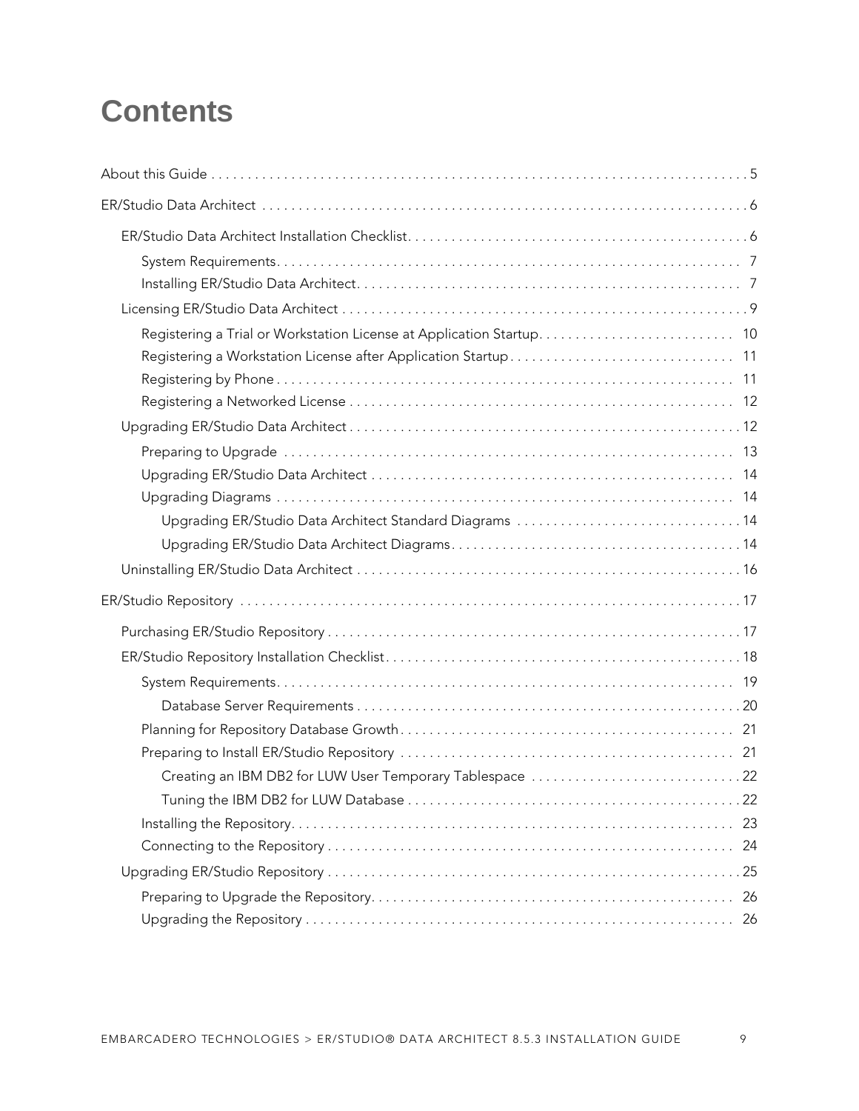# **Contents**

| Upgrading ER/Studio Data Architect Standard Diagrams 14 |
|---------------------------------------------------------|
|                                                         |
|                                                         |
|                                                         |
|                                                         |
|                                                         |
|                                                         |
|                                                         |
|                                                         |
|                                                         |
|                                                         |
|                                                         |
|                                                         |
| 24                                                      |
|                                                         |
| 26                                                      |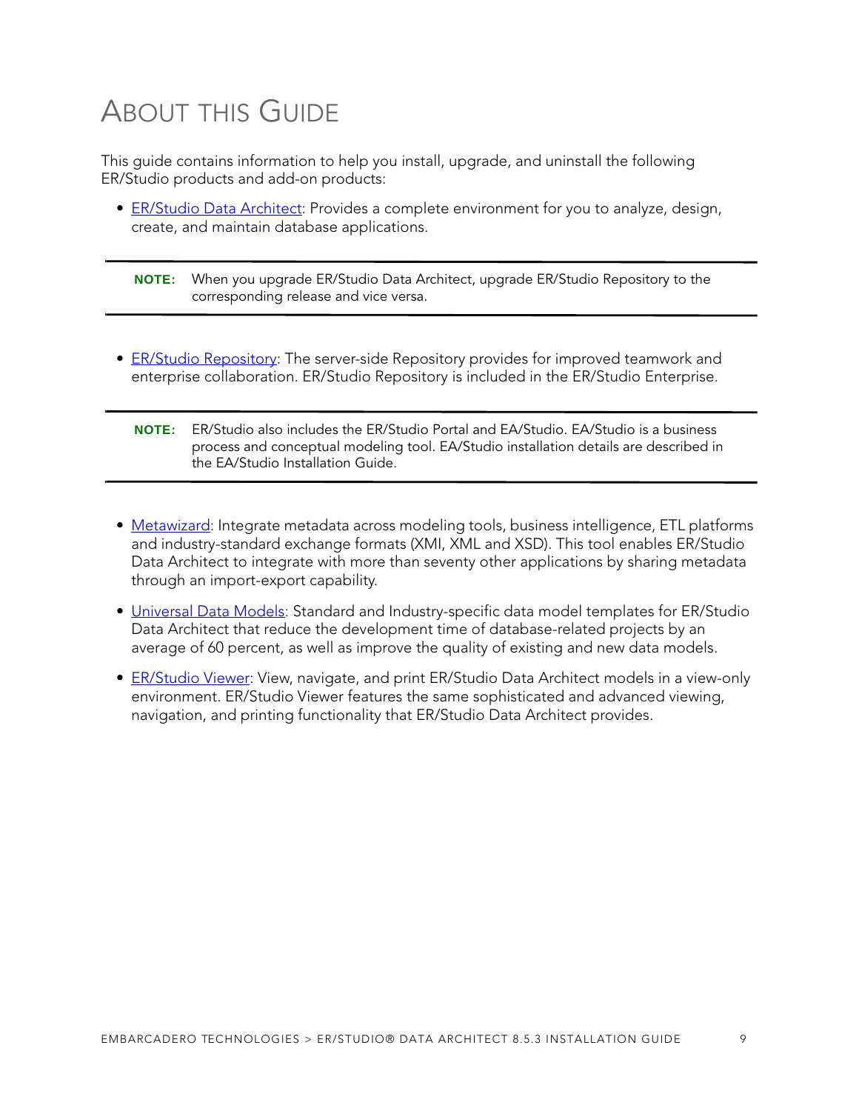# <span id="page-4-0"></span>ABOUT THIS GUIDE

This guide contains information to help you install, upgrade, and uninstall the following ER/Studio products and add-on products:

- [ER/Studio Data Architect](#page-5-0): Provides a complete environment for you to analyze, design, create, and maintain database applications.
	- **NOTE:** When you upgrade ER/Studio Data Architect, upgrade ER/Studio Repository to the corresponding release and vice versa.
- [ER/Studio Repository](#page-16-0): The server-side Repository provides for improved teamwork and enterprise collaboration. ER/Studio Repository is included in the ER/Studio Enterprise.
	- **NOTE:** ER/Studio also includes the ER/Studio Portal and EA/Studio. EA/Studio is a business process and conceptual modeling tool. EA/Studio installation details are described in the EA/Studio Installation Guide.
- [Metawizard:](#page-28-0) Integrate metadata across modeling tools, business intelligence, ETL platforms and industry-standard exchange formats (XMI, XML and XSD). This tool enables ER/Studio Data Architect to integrate with more than seventy other applications by sharing metadata through an import-export capability.
- [Universal Data Models](#page-30-0): Standard and Industry-specific data model templates for ER/Studio Data Architect that reduce the development time of database-related projects by an average of 60 percent, as well as improve the quality of existing and new data models.
- [ER/Studio Viewer](#page-31-0): View, navigate, and print ER/Studio Data Architect models in a view-only environment. ER/Studio Viewer features the same sophisticated and advanced viewing, navigation, and printing functionality that ER/Studio Data Architect provides.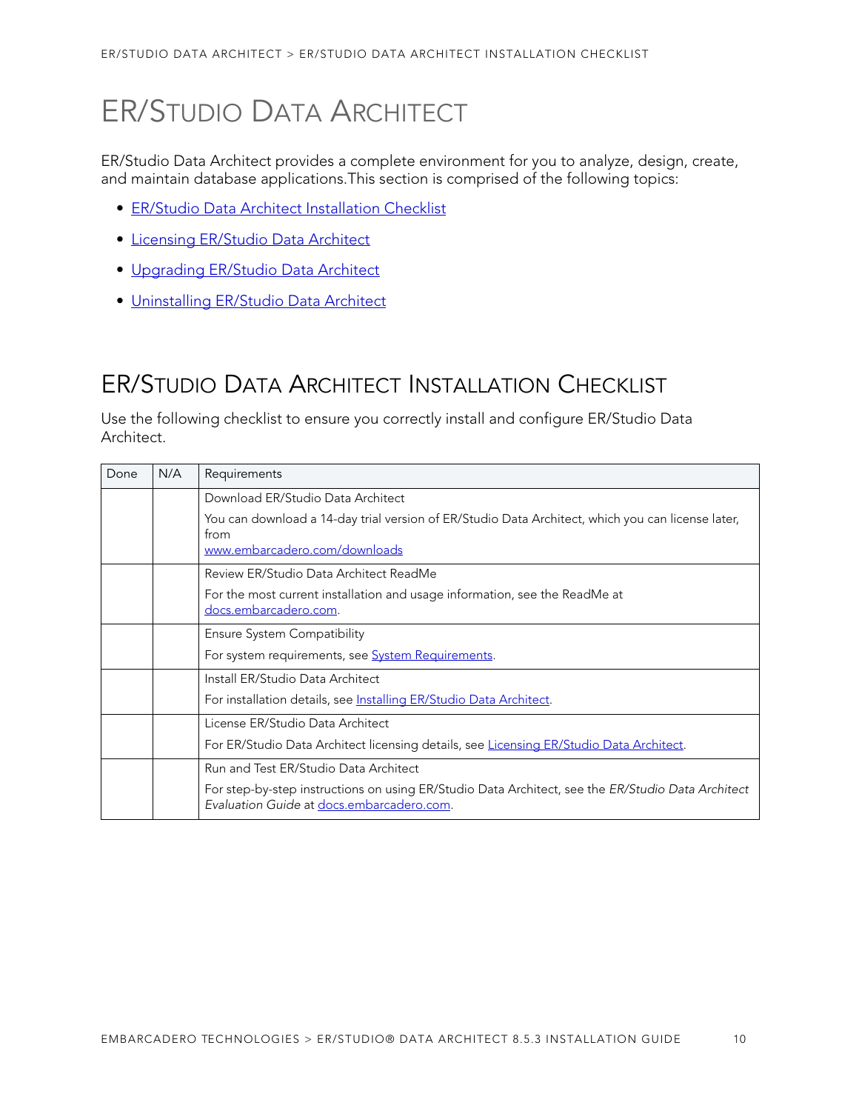# <span id="page-5-0"></span>ER/STUDIO DATA ARCHITECT

ER/Studio Data Architect provides a complete environment for you to analyze, design, create, and maintain database applications.This section is comprised of the following topics:

- [ER/Studio Data Architect Installation Checklist](#page-5-1)
- [Licensing ER/Studio Data Architect](#page-8-0)
- [Upgrading ER/Studio Data Architect](#page-11-1)
- [Uninstalling ER/Studio Data Architect](#page-15-0)

## <span id="page-5-1"></span>ER/STUDIO DATA ARCHITECT INSTALLATION CHECKLIST

Use the following checklist to ensure you correctly install and configure ER/Studio Data Architect.

| Done | N/A | Requirements                                                                                                                                   |
|------|-----|------------------------------------------------------------------------------------------------------------------------------------------------|
|      |     | Download ER/Studio Data Architect                                                                                                              |
|      |     | You can download a 14-day trial version of ER/Studio Data Architect, which you can license later,<br>from<br>www.embarcadero.com/downloads     |
|      |     | Review ER/Studio Data Architect ReadMe                                                                                                         |
|      |     | For the most current installation and usage information, see the ReadMe at<br>docs.embarcadero.com.                                            |
|      |     | Ensure System Compatibility                                                                                                                    |
|      |     | For system requirements, see <b>System Requirements</b> .                                                                                      |
|      |     | Install ER/Studio Data Architect                                                                                                               |
|      |     | For installation details, see Installing ER/Studio Data Architect.                                                                             |
|      |     | License ER/Studio Data Architect                                                                                                               |
|      |     | For ER/Studio Data Architect licensing details, see Licensing ER/Studio Data Architect.                                                        |
|      |     | Run and Test ER/Studio Data Architect                                                                                                          |
|      |     | For step-by-step instructions on using ER/Studio Data Architect, see the ER/Studio Data Architect<br>Evaluation Guide at docs.embarcadero.com. |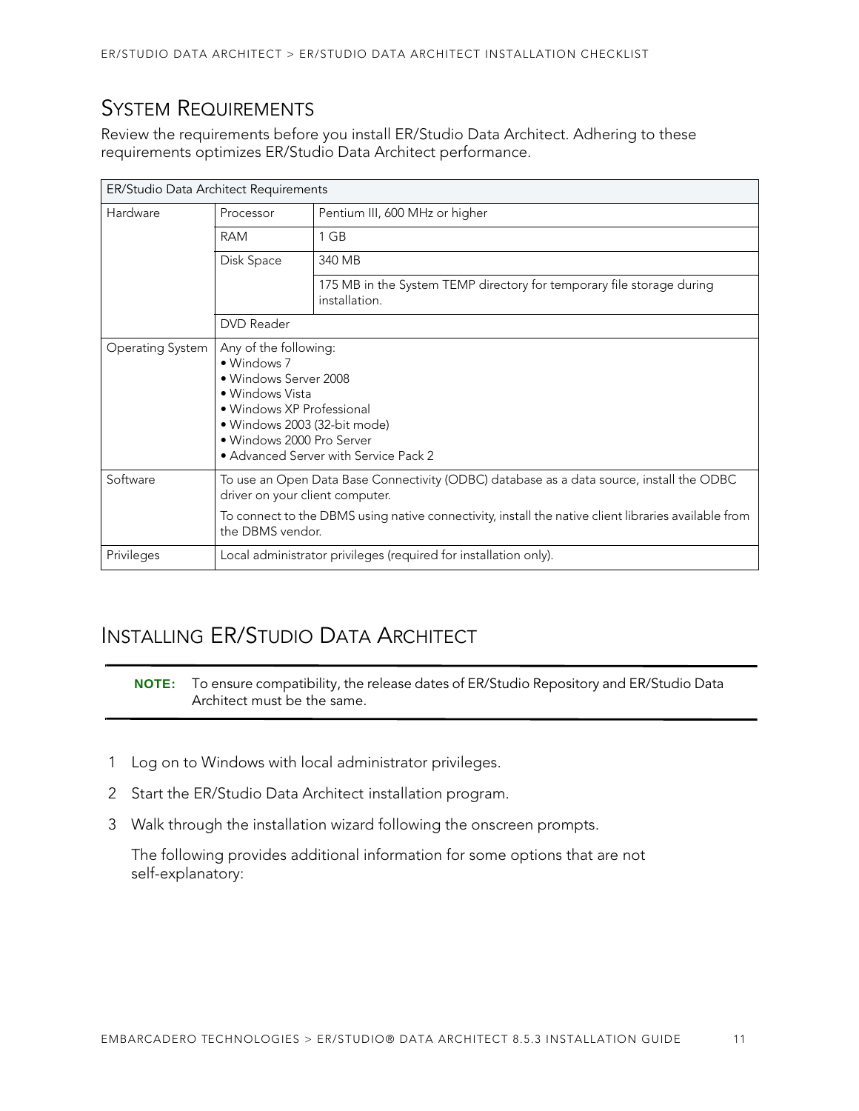## <span id="page-6-0"></span>SYSTEM REQUIREMENTS

Review the requirements before you install ER/Studio Data Architect. Adhering to these requirements optimizes ER/Studio Data Architect performance.

| ER/Studio Data Architect Requirements |                                                                                                                                                                                                                                                         |                                                                                        |  |
|---------------------------------------|---------------------------------------------------------------------------------------------------------------------------------------------------------------------------------------------------------------------------------------------------------|----------------------------------------------------------------------------------------|--|
| Hardware                              | Processor<br>Pentium III, 600 MHz or higher                                                                                                                                                                                                             |                                                                                        |  |
|                                       | <b>RAM</b>                                                                                                                                                                                                                                              | 1 GB                                                                                   |  |
|                                       | Disk Space                                                                                                                                                                                                                                              | 340 MB                                                                                 |  |
|                                       |                                                                                                                                                                                                                                                         | 175 MB in the System TEMP directory for temporary file storage during<br>installation. |  |
|                                       | <b>DVD</b> Reader                                                                                                                                                                                                                                       |                                                                                        |  |
| Operating System                      | Any of the following:<br>• Windows 7<br>• Windows Server 2008<br>• Windows Vista<br>• Windows XP Professional<br>• Windows 2003 (32-bit mode)<br>• Windows 2000 Pro Server<br>• Advanced Server with Service Pack 2                                     |                                                                                        |  |
| Software                              | To use an Open Data Base Connectivity (ODBC) database as a data source, install the ODBC<br>driver on your client computer.<br>To connect to the DBMS using native connectivity, install the native client libraries available from<br>the DBMS vendor. |                                                                                        |  |
| Privileges                            | Local administrator privileges (required for installation only).                                                                                                                                                                                        |                                                                                        |  |

## <span id="page-6-1"></span>INSTALLING ER/STUDIO DATA ARCHITECT

**NOTE:** To ensure compatibility, the release dates of ER/Studio Repository and ER/Studio Data Architect must be the same.

- 1 Log on to Windows with local administrator privileges.
- 2 Start the ER/Studio Data Architect installation program.
- 3 Walk through the installation wizard following the onscreen prompts.

The following provides additional information for some options that are not self-explanatory: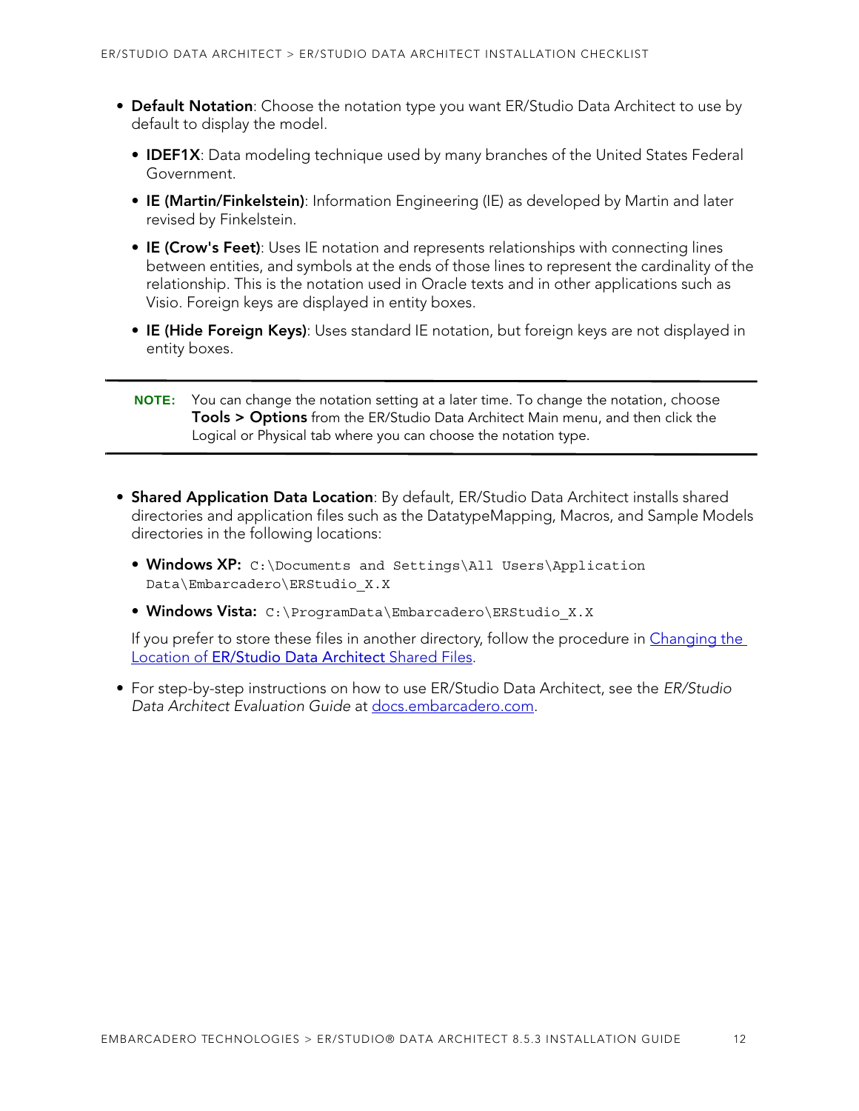- **Default Notation**: Choose the notation type you want ER/Studio Data Architect to use by default to display the model.
	- **IDEF1X**: Data modeling technique used by many branches of the United States Federal Government.
	- **IE (Martin/Finkelstein)**: Information Engineering (IE) as developed by Martin and later revised by Finkelstein.
	- **IE (Crow's Feet)**: Uses IE notation and represents relationships with connecting lines between entities, and symbols at the ends of those lines to represent the cardinality of the relationship. This is the notation used in Oracle texts and in other applications such as Visio. Foreign keys are displayed in entity boxes.
	- **IE (Hide Foreign Keys)**: Uses standard IE notation, but foreign keys are not displayed in entity boxes.

- **Shared Application Data Location**: By default, ER/Studio Data Architect installs shared directories and application files such as the DatatypeMapping, Macros, and Sample Models directories in the following locations:
	- **Windows XP:** C:\Documents and Settings\All Users\Application Data\Embarcadero\ERStudio\_X.X
	- **Windows Vista:** C:\ProgramData\Embarcadero\ERStudio\_X.X

If you prefer to store these files in another directory, follow the procedure in Changing the Location of [ER/Studio Data Architect](#page-8-1) Shared Files.

• For step-by-step instructions on how to use ER/Studio Data Architect, see the ER/Studio Data Architect Evaluation Guide at [docs.embarcadero.com.](http://docs.embarcadero.com)

**NOTE:** You can change the notation setting at a later time. To change the notation, choose **Tools > Options** from the ER/Studio Data Architect Main menu, and then click the Logical or Physical tab where you can choose the notation type.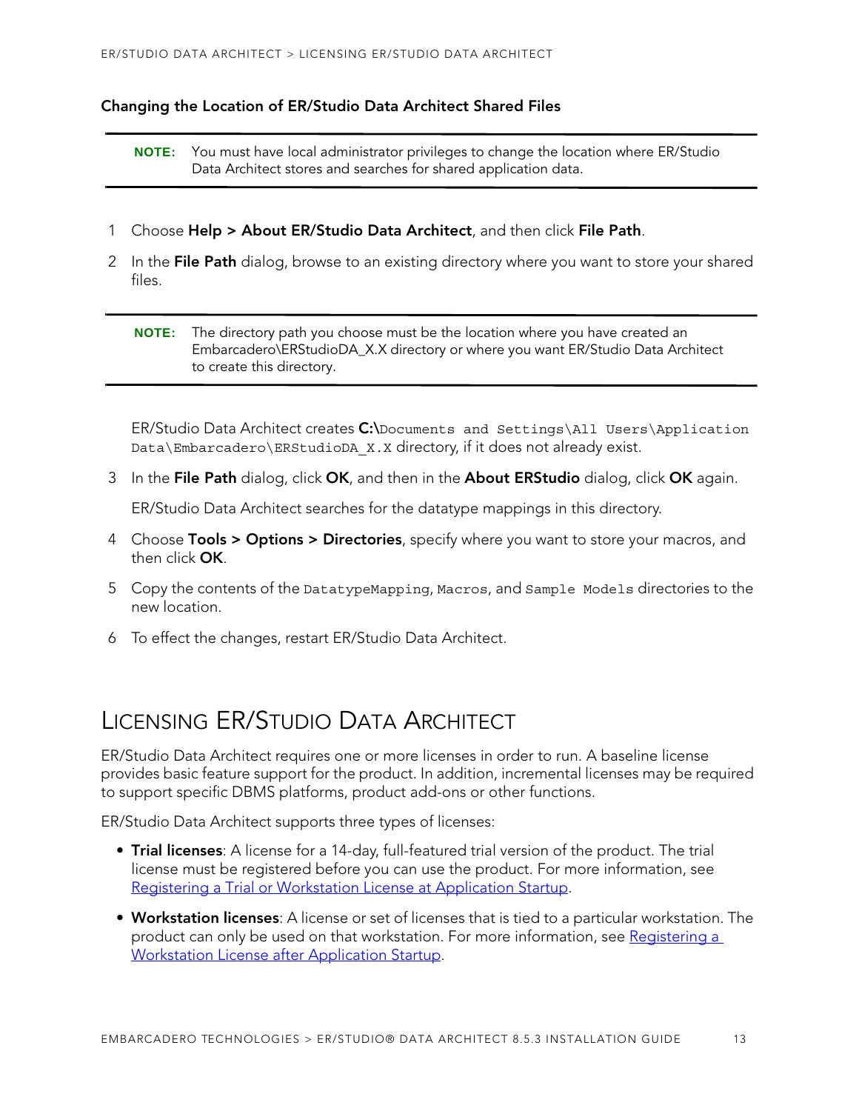#### <span id="page-8-1"></span>**Changing the Location of ER/Studio Data Architect Shared Files**

**NOTE:** You must have local administrator privileges to change the location where ER/Studio Data Architect stores and searches for shared application data.

- 1 Choose **Help > About ER/Studio Data Architect**, and then click **File Path**.
- 2 In the **File Path** dialog, browse to an existing directory where you want to store your shared files.

**NOTE:** The directory path you choose must be the location where you have created an Embarcadero\ERStudioDA\_X.X directory or where you want ER/Studio Data Architect to create this directory.

ER/Studio Data Architect creates **C:\**Documents and Settings\All Users\Application Data\Embarcadero\ERStudioDA\_X.X directory, if it does not already exist.

3 In the **File Path** dialog, click **OK**, and then in the **About ERStudio** dialog, click **OK** again.

ER/Studio Data Architect searches for the datatype mappings in this directory.

- 4 Choose **Tools > Options > Directories**, specify where you want to store your macros, and then click **OK**.
- 5 Copy the contents of the DatatypeMapping, Macros, and Sample Models directories to the new location.
- 6 To effect the changes, restart ER/Studio Data Architect.

## <span id="page-8-0"></span>LICENSING ER/STUDIO DATA ARCHITECT

ER/Studio Data Architect requires one or more licenses in order to run. A baseline license provides basic feature support for the product. In addition, incremental licenses may be required to support specific DBMS platforms, product add-ons or other functions.

ER/Studio Data Architect supports three types of licenses:

- **Trial licenses**: A license for a 14-day, full-featured trial version of the product. The trial license must be registered before you can use the product. For more information, see [Registering a Trial or Workstation License at Application Startup](#page-9-0).
- **Workstation licenses**: A license or set of licenses that is tied to a particular workstation. The product can only be used on that workstation. For more information, see [Registering a](#page-10-0)  [Workstation License after Application Startup](#page-10-0).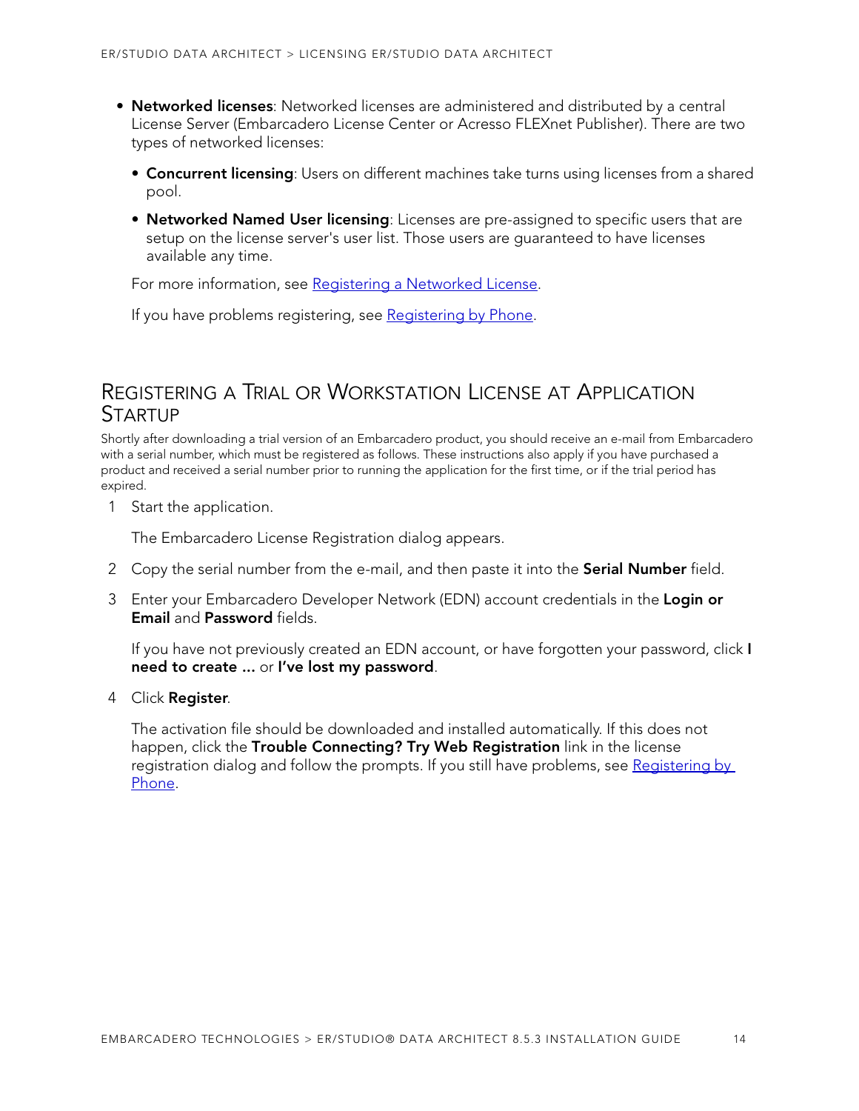- **Networked licenses**: Networked licenses are administered and distributed by a central License Server (Embarcadero License Center or Acresso FLEXnet Publisher). There are two types of networked licenses:
	- **Concurrent licensing**: Users on different machines take turns using licenses from a shared pool.
	- **Networked Named User licensing**: Licenses are pre-assigned to specific users that are setup on the license server's user list. Those users are guaranteed to have licenses available any time.

For more information, see [Registering a Networked License](#page-11-0).

If you have problems registering, see [Registering by Phone](#page-10-1).

### <span id="page-9-0"></span>REGISTERING A TRIAL OR WORKSTATION LICENSE AT APPLICATION STARTUP

Shortly after downloading a trial version of an Embarcadero product, you should receive an e-mail from Embarcadero with a serial number, which must be registered as follows. These instructions also apply if you have purchased a product and received a serial number prior to running the application for the first time, or if the trial period has expired.

1 Start the application.

The Embarcadero License Registration dialog appears.

- 2 Copy the serial number from the e-mail, and then paste it into the **Serial Number** field.
- 3 Enter your Embarcadero Developer Network (EDN) account credentials in the **Login or Email** and **Password** fields.

If you have not previously created an EDN account, or have forgotten your password, click **I need to create ...** or **I've lost my password**.

4 Click **Register**.

The activation file should be downloaded and installed automatically. If this does not happen, click the **Trouble Connecting? Try Web Registration** link in the license registration dialog and follow the prompts. If you still have problems, see [Registering by](#page-10-1)  [Phone.](#page-10-1)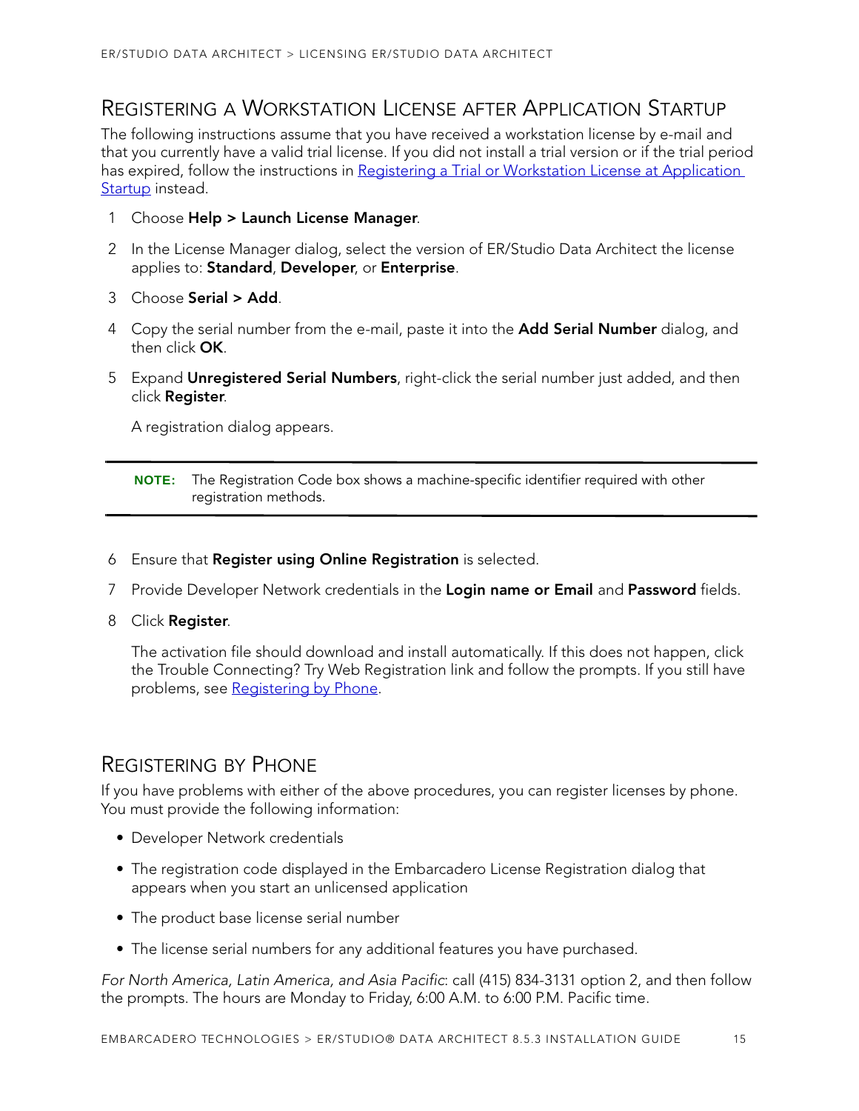## <span id="page-10-0"></span>REGISTERING A WORKSTATION LICENSE AFTER APPLICATION STARTUP

The following instructions assume that you have received a workstation license by e-mail and that you currently have a valid trial license. If you did not install a trial version or if the trial period has expired, follow the instructions in Registering a Trial or Workstation License at Application [Startup](#page-9-0) instead.

- 1 Choose **Help > Launch License Manager**.
- 2 In the License Manager dialog, select the version of ER/Studio Data Architect the license applies to: **Standard**, **Developer**, or **Enterprise**.
- 3 Choose **Serial > Add**.
- 4 Copy the serial number from the e-mail, paste it into the **Add Serial Number** dialog, and then click **OK**.
- 5 Expand **Unregistered Serial Numbers**, right-click the serial number just added, and then click **Register**.

A registration dialog appears.

- 6 Ensure that **Register using Online Registration** is selected.
- 7 Provide Developer Network credentials in the **Login name or Email** and **Password** fields.
- 8 Click **Register**.

The activation file should download and install automatically. If this does not happen, click the Trouble Connecting? Try Web Registration link and follow the prompts. If you still have problems, see Registering by Phone.

### <span id="page-10-1"></span>REGISTERING BY PHONE

If you have problems with either of the above procedures, you can register licenses by phone. You must provide the following information:

- Developer Network credentials
- The registration code displayed in the Embarcadero License Registration dialog that appears when you start an unlicensed application
- The product base license serial number
- The license serial numbers for any additional features you have purchased.

For North America, Latin America, and Asia Pacific: call (415) 834-3131 option 2, and then follow the prompts. The hours are Monday to Friday, 6:00 A.M. to 6:00 P.M. Pacific time.

**NOTE:** The Registration Code box shows a machine-specific identifier required with other registration methods.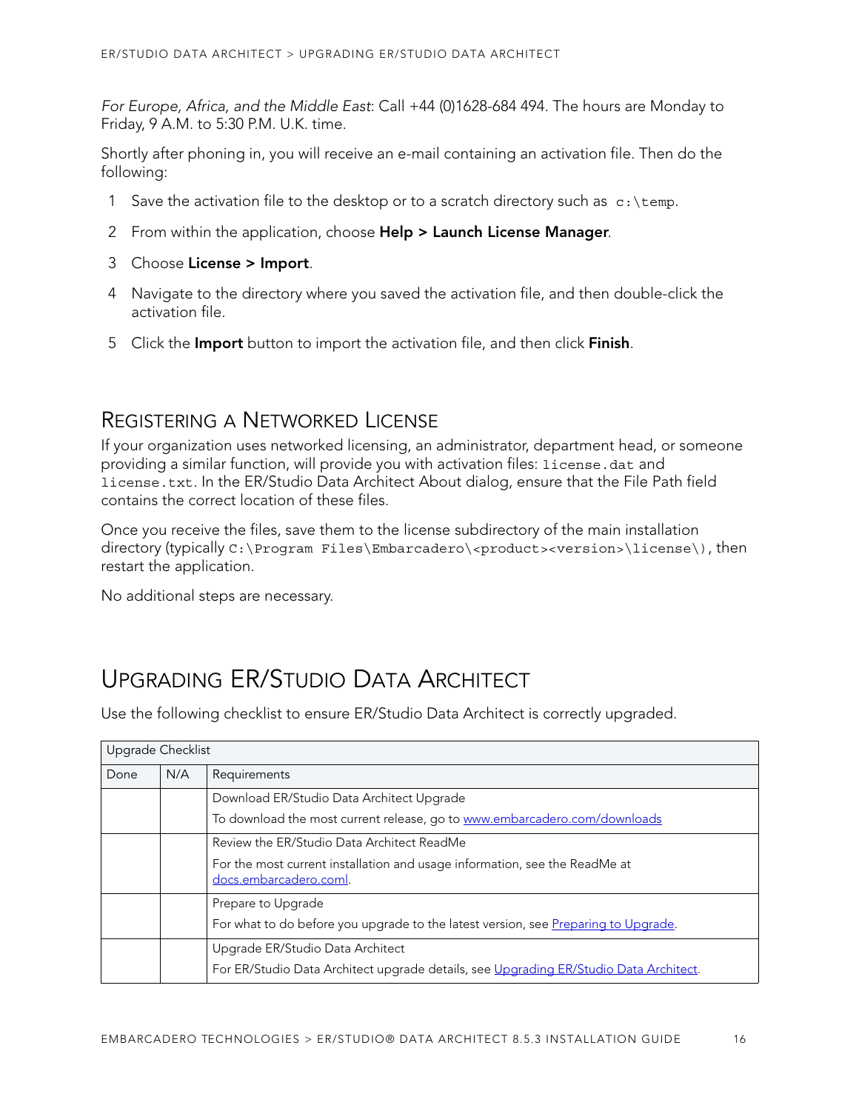For Europe, Africa, and the Middle East: Call +44 (0)1628-684 494. The hours are Monday to Friday, 9 A.M. to 5:30 P.M. U.K. time.

Shortly after phoning in, you will receive an e-mail containing an activation file. Then do the following:

- 1 Save the activation file to the desktop or to a scratch directory such as  $c:\temp$ .
- 2 From within the application, choose **Help > Launch License Manager**.
- 3 Choose **License > Import**.
- 4 Navigate to the directory where you saved the activation file, and then double-click the activation file.
- 5 Click the **Import** button to import the activation file, and then click **Finish**.

### <span id="page-11-0"></span>REGISTERING A NETWORKED LICENSE

If your organization uses networked licensing, an administrator, department head, or someone providing a similar function, will provide you with activation files: license.dat and license.txt. In the ER/Studio Data Architect About dialog, ensure that the File Path field contains the correct location of these files.

Once you receive the files, save them to the license subdirectory of the main installation directory (typically C:\Program Files\Embarcadero\<product><version>\license\), then restart the application.

No additional steps are necessary.

## <span id="page-11-1"></span>UPGRADING ER/STUDIO DATA ARCHITECT

Use the following checklist to ensure ER/Studio Data Architect is correctly upgraded.

| Upgrade Checklist |     |                                                                                                      |
|-------------------|-----|------------------------------------------------------------------------------------------------------|
| Done              | N/A | Requirements                                                                                         |
|                   |     | Download ER/Studio Data Architect Upgrade                                                            |
|                   |     | To download the most current release, go to www.embarcadero.com/downloads                            |
|                   |     | Review the ER/Studio Data Architect ReadMe                                                           |
|                   |     | For the most current installation and usage information, see the ReadMe at<br>docs.embarcadero.coml. |
|                   |     | Prepare to Upgrade                                                                                   |
|                   |     | For what to do before you upgrade to the latest version, see Preparing to Upgrade.                   |
|                   |     | Upgrade ER/Studio Data Architect                                                                     |
|                   |     | For ER/Studio Data Architect upgrade details, see Upgrading ER/Studio Data Architect.                |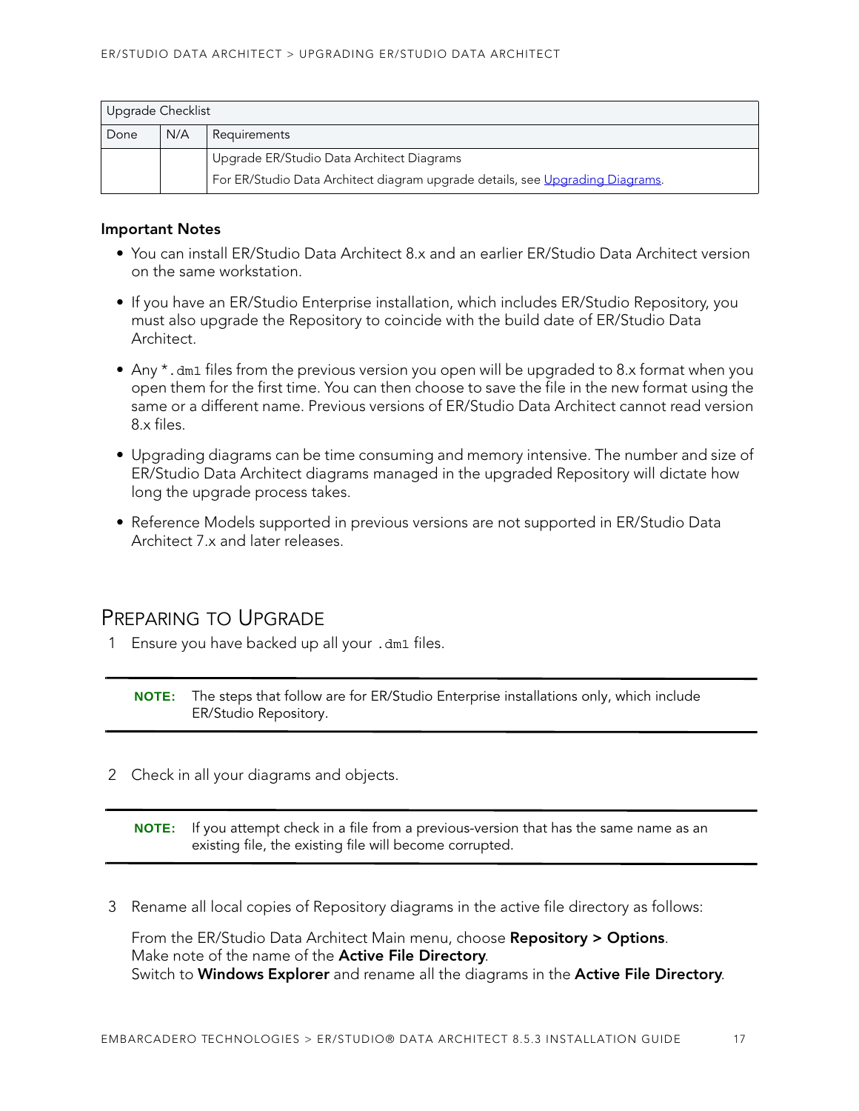| Upgrade Checklist                                                             |                                           |              |  |
|-------------------------------------------------------------------------------|-------------------------------------------|--------------|--|
| Done                                                                          | N/A                                       | Requirements |  |
|                                                                               | Upgrade ER/Studio Data Architect Diagrams |              |  |
| For ER/Studio Data Architect diagram upgrade details, see Upgrading Diagrams. |                                           |              |  |

#### **Important Notes**

- You can install ER/Studio Data Architect 8.x and an earlier ER/Studio Data Architect version on the same workstation.
- If you have an ER/Studio Enterprise installation, which includes ER/Studio Repository, you must also upgrade the Repository to coincide with the build date of ER/Studio Data Architect.
- Any \*.dm1 files from the previous version you open will be upgraded to 8.x format when you open them for the first time. You can then choose to save the file in the new format using the same or a different name. Previous versions of ER/Studio Data Architect cannot read version 8.x files.
- Upgrading diagrams can be time consuming and memory intensive. The number and size of ER/Studio Data Architect diagrams managed in the upgraded Repository will dictate how long the upgrade process takes.
- Reference Models supported in previous versions are not supported in ER/Studio Data Architect 7.x and later releases.

### <span id="page-12-0"></span>PREPARING TO UPGRADE

1 Ensure you have backed up all your .dm1 files.

**NOTE:** The steps that follow are for ER/Studio Enterprise installations only, which include ER/Studio Repository.

2 Check in all your diagrams and objects.

**NOTE:** If you attempt check in a file from a previous-version that has the same name as an existing file, the existing file will become corrupted.

3 Rename all local copies of Repository diagrams in the active file directory as follows:

From the ER/Studio Data Architect Main menu, choose **Repository > Options**. Make note of the name of the **Active File Directory**. Switch to **Windows Explorer** and rename all the diagrams in the **Active File Directory**.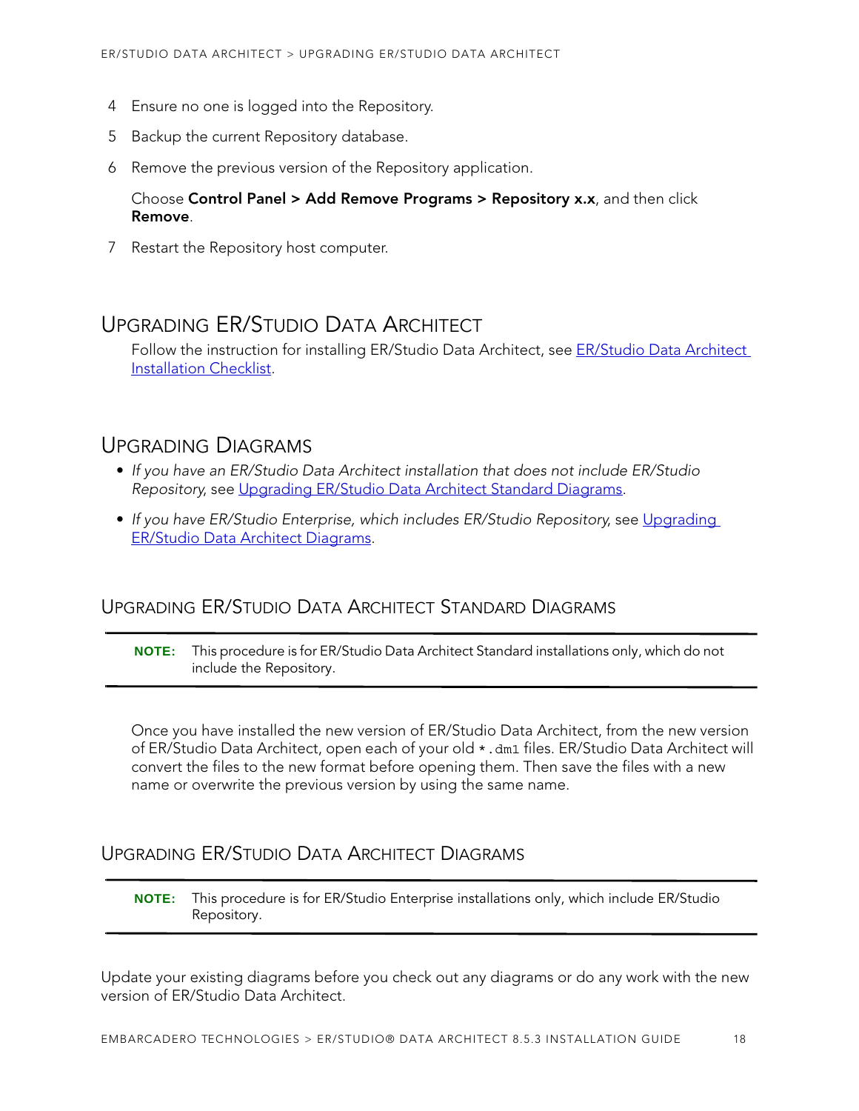- 4 Ensure no one is logged into the Repository.
- 5 Backup the current Repository database.
- 6 Remove the previous version of the Repository application.

#### Choose **Control Panel > Add Remove Programs > Repository x.x**, and then click **Remove**.

7 Restart the Repository host computer.

### <span id="page-13-0"></span>UPGRADING ER/STUDIO DATA ARCHITECT

Follow the instruction for installing ER/Studio Data Architect, see ER/Studio Data Architect [Installation Checklist.](#page-5-1)

### <span id="page-13-1"></span>UPGRADING DIAGRAMS

- If you have an ER/Studio Data Architect installation that does not include ER/Studio Repository, see [Upgrading ER/Studio Data Architect Standard Diagrams.](#page-13-2)
- If you have ER/Studio Enterprise, which includes ER/Studio Repository, see [Upgrading](#page-13-3)  [ER/Studio Data Architect Diagrams.](#page-13-3)

### <span id="page-13-2"></span>UPGRADING ER/STUDIO DATA ARCHITECT STANDARD DIAGRAMS

**NOTE:** This procedure is for ER/Studio Data Architect Standard installations only, which do not include the Repository.

Once you have installed the new version of ER/Studio Data Architect, from the new version of ER/Studio Data Architect, open each of your old \*.dm1 files. ER/Studio Data Architect will convert the files to the new format before opening them. Then save the files with a new name or overwrite the previous version by using the same name.

#### <span id="page-13-3"></span>UPGRADING ER/STUDIO DATA ARCHITECT DIAGRAMS

**NOTE:** This procedure is for ER/Studio Enterprise installations only, which include ER/Studio Repository.

Update your existing diagrams before you check out any diagrams or do any work with the new version of ER/Studio Data Architect.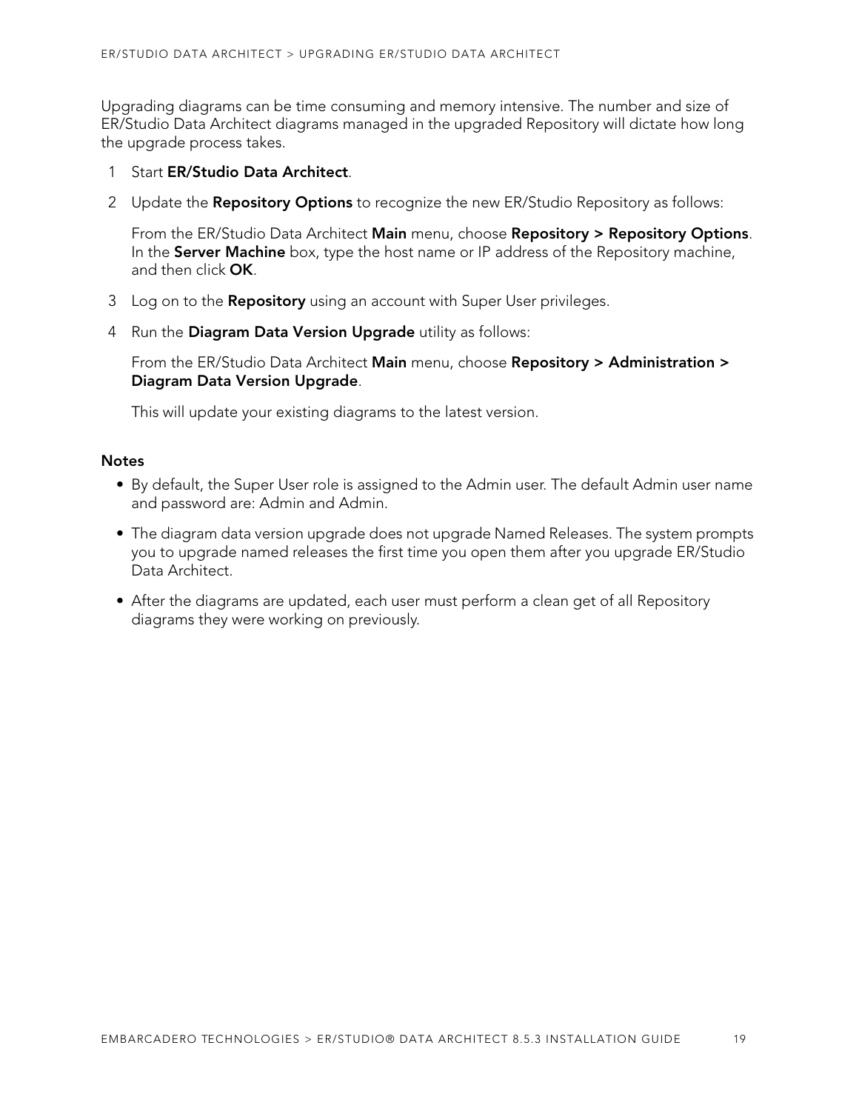Upgrading diagrams can be time consuming and memory intensive. The number and size of ER/Studio Data Architect diagrams managed in the upgraded Repository will dictate how long the upgrade process takes.

- 1 Start **ER/Studio Data Architect**.
- 2 Update the **Repository Options** to recognize the new ER/Studio Repository as follows:

From the ER/Studio Data Architect **Main** menu, choose **Repository > Repository Options**. In the **Server Machine** box, type the host name or IP address of the Repository machine, and then click **OK**.

- 3 Log on to the **Repository** using an account with Super User privileges.
- 4 Run the **Diagram Data Version Upgrade** utility as follows:

From the ER/Studio Data Architect **Main** menu, choose **Repository > Administration > Diagram Data Version Upgrade**.

This will update your existing diagrams to the latest version.

#### **Notes**

- By default, the Super User role is assigned to the Admin user. The default Admin user name and password are: Admin and Admin.
- The diagram data version upgrade does not upgrade Named Releases. The system prompts you to upgrade named releases the first time you open them after you upgrade ER/Studio Data Architect.
- After the diagrams are updated, each user must perform a clean get of all Repository diagrams they were working on previously.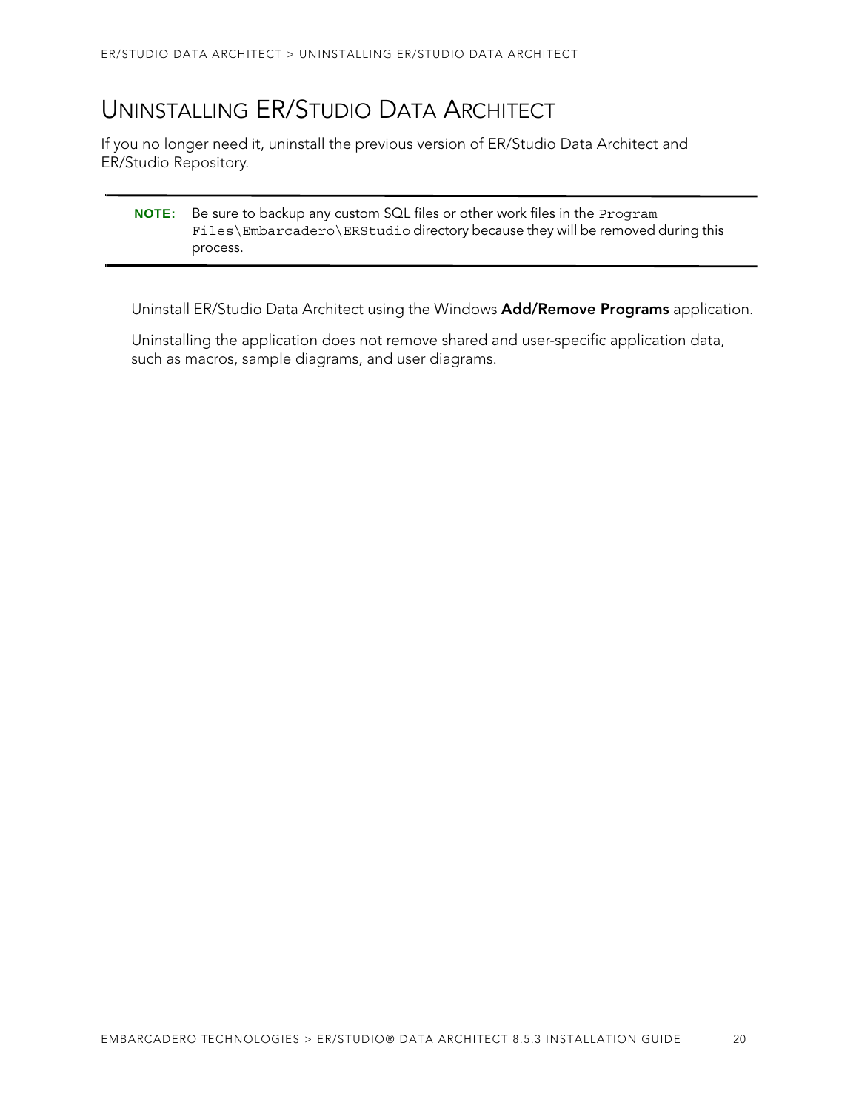## <span id="page-15-0"></span>UNINSTALLING ER/STUDIO DATA ARCHITECT

If you no longer need it, uninstall the previous version of ER/Studio Data Architect and ER/Studio Repository.

| <b>NOTE:</b> Be sure to backup any custom SQL files or other work files in the Program |
|----------------------------------------------------------------------------------------|
| Files\Embarcadero\ERStudio directory because they will be removed during this          |
| process.                                                                               |

Uninstall ER/Studio Data Architect using the Windows **Add/Remove Programs** application.

Uninstalling the application does not remove shared and user-specific application data, such as macros, sample diagrams, and user diagrams.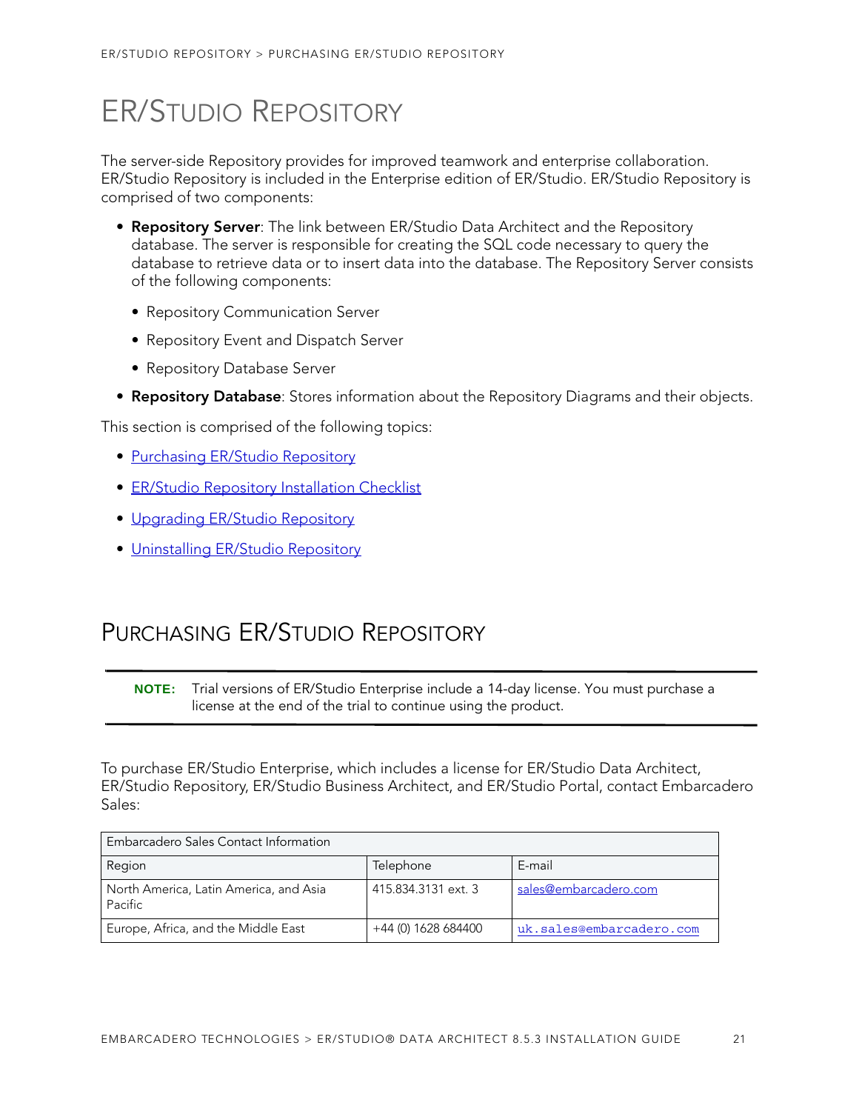# <span id="page-16-0"></span>ER/STUDIO REPOSITORY

The server-side Repository provides for improved teamwork and enterprise collaboration. ER/Studio Repository is included in the Enterprise edition of ER/Studio. ER/Studio Repository is comprised of two components:

- **Repository Server**: The link between ER/Studio Data Architect and the Repository database. The server is responsible for creating the SQL code necessary to query the database to retrieve data or to insert data into the database. The Repository Server consists of the following components:
	- Repository Communication Server
	- Repository Event and Dispatch Server
	- Repository Database Server
- **Repository Database**: Stores information about the Repository Diagrams and their objects.

This section is comprised of the following topics:

- [Purchasing ER/Studio Repository](#page-16-1)
- [ER/Studio Repository Installation Checklist](#page-17-0)
- [Upgrading ER/Studio Repository](#page-24-0)
- [Uninstalling ER/Studio Repository](#page-27-0)

## <span id="page-16-1"></span>PURCHASING ER/STUDIO REPOSITORY

**NOTE:** Trial versions of ER/Studio Enterprise include a 14-day license. You must purchase a license at the end of the trial to continue using the product.

To purchase ER/Studio Enterprise, which includes a license for ER/Studio Data Architect, ER/Studio Repository, ER/Studio Business Architect, and ER/Studio Portal, contact Embarcadero Sales:

| Embarcadero Sales Contact Information             |                     |                          |  |  |
|---------------------------------------------------|---------------------|--------------------------|--|--|
| Region                                            | Telephone           | E-mail                   |  |  |
| North America, Latin America, and Asia<br>Pacific | 415.834.3131 ext. 3 | sales@embarcadero.com    |  |  |
| Europe, Africa, and the Middle East               | +44 (0) 1628 684400 | uk.sales@embarcadero.com |  |  |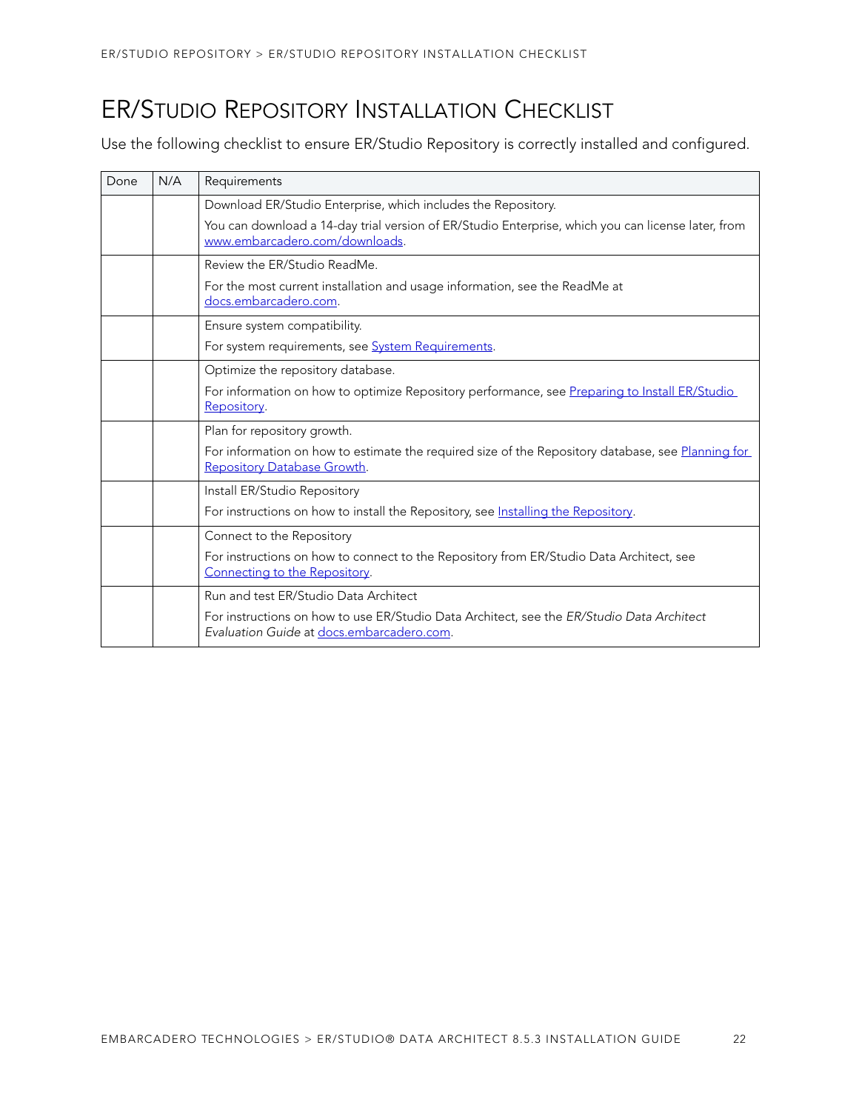## <span id="page-17-0"></span>ER/STUDIO REPOSITORY INSTALLATION CHECKLIST

Use the following checklist to ensure ER/Studio Repository is correctly installed and configured.

| Done | N/A | Requirements                                                                                                                           |  |
|------|-----|----------------------------------------------------------------------------------------------------------------------------------------|--|
|      |     | Download ER/Studio Enterprise, which includes the Repository.                                                                          |  |
|      |     | You can download a 14-day trial version of ER/Studio Enterprise, which you can license later, from<br>www.embarcadero.com/downloads.   |  |
|      |     | Review the ER/Studio ReadMe.                                                                                                           |  |
|      |     | For the most current installation and usage information, see the ReadMe at<br>docs.embarcadero.com.                                    |  |
|      |     | Ensure system compatibility.                                                                                                           |  |
|      |     | For system requirements, see System Requirements.                                                                                      |  |
|      |     | Optimize the repository database.                                                                                                      |  |
|      |     | For information on how to optimize Repository performance, see Preparing to Install ER/Studio<br>Repository.                           |  |
|      |     | Plan for repository growth.                                                                                                            |  |
|      |     | For information on how to estimate the required size of the Repository database, see Planning for<br>Repository Database Growth.       |  |
|      |     | Install ER/Studio Repository                                                                                                           |  |
|      |     | For instructions on how to install the Repository, see Installing the Repository.                                                      |  |
|      |     | Connect to the Repository                                                                                                              |  |
|      |     | For instructions on how to connect to the Repository from ER/Studio Data Architect, see<br>Connecting to the Repository.               |  |
|      |     | Run and test ER/Studio Data Architect                                                                                                  |  |
|      |     | For instructions on how to use ER/Studio Data Architect, see the ER/Studio Data Architect<br>Evaluation Guide at docs.embarcadero.com. |  |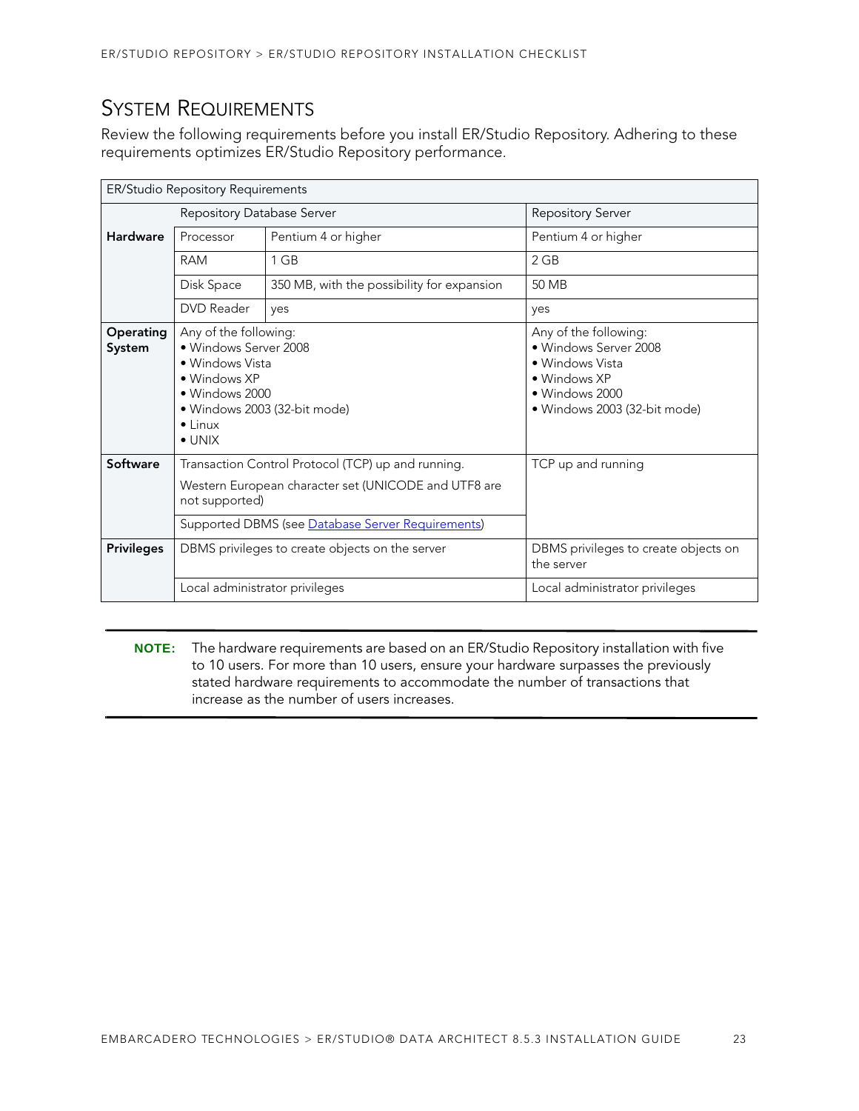## <span id="page-18-0"></span>SYSTEM REQUIREMENTS

Review the following requirements before you install ER/Studio Repository. Adhering to these requirements optimizes ER/Studio Repository performance.

| ER/Studio Repository Requirements |                                                                                                                                                                                   |                                            |                                                                                                                                     |  |
|-----------------------------------|-----------------------------------------------------------------------------------------------------------------------------------------------------------------------------------|--------------------------------------------|-------------------------------------------------------------------------------------------------------------------------------------|--|
|                                   | Repository Database Server                                                                                                                                                        |                                            | <b>Repository Server</b>                                                                                                            |  |
| <b>Hardware</b>                   | Processor                                                                                                                                                                         | Pentium 4 or higher                        | Pentium 4 or higher                                                                                                                 |  |
|                                   | <b>RAM</b>                                                                                                                                                                        | 1 GB                                       | 2 GB                                                                                                                                |  |
|                                   | Disk Space                                                                                                                                                                        | 350 MB, with the possibility for expansion | 50 MB                                                                                                                               |  |
|                                   | DVD Reader                                                                                                                                                                        | yes                                        | yes                                                                                                                                 |  |
| Operating<br>System               | Any of the following:<br>• Windows Server 2008<br>• Windows Vista<br>• Windows XP<br>• Windows 2000<br>· Windows 2003 (32-bit mode)<br>$\bullet$ Linux<br>$\bullet$ UNIX          |                                            | Any of the following:<br>• Windows Server 2008<br>• Windows Vista<br>• Windows XP<br>· Windows 2000<br>· Windows 2003 (32-bit mode) |  |
| Software                          | Transaction Control Protocol (TCP) up and running.<br>Western European character set (UNICODE and UTF8 are<br>not supported)<br>Supported DBMS (see Database Server Requirements) |                                            | TCP up and running                                                                                                                  |  |
| <b>Privileges</b>                 | DBMS privileges to create objects on the server                                                                                                                                   |                                            | DBMS privileges to create objects on<br>the server                                                                                  |  |
|                                   | Local administrator privileges                                                                                                                                                    |                                            | Local administrator privileges                                                                                                      |  |

**NOTE:** The hardware requirements are based on an ER/Studio Repository installation with five to 10 users. For more than 10 users, ensure your hardware surpasses the previously stated hardware requirements to accommodate the number of transactions that increase as the number of users increases.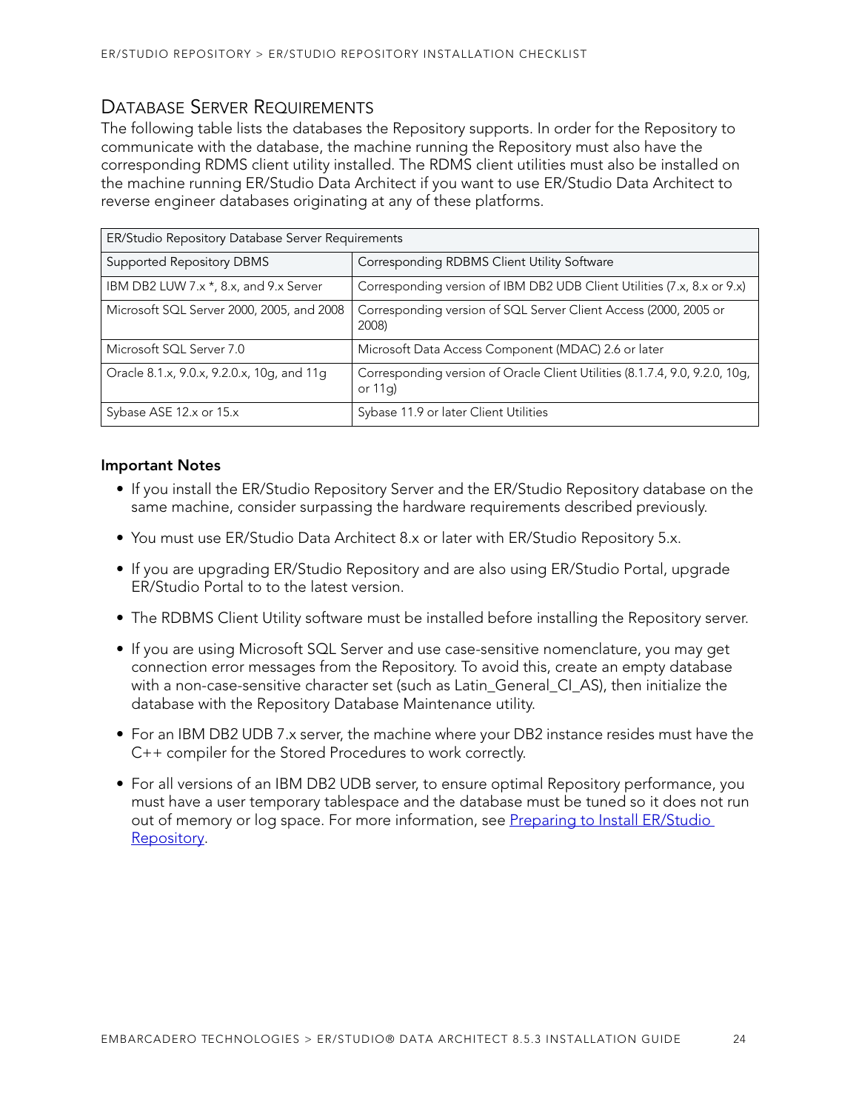### <span id="page-19-0"></span>DATABASE SERVER REQUIREMENTS

The following table lists the databases the Repository supports. In order for the Repository to communicate with the database, the machine running the Repository must also have the corresponding RDMS client utility installed. The RDMS client utilities must also be installed on the machine running ER/Studio Data Architect if you want to use ER/Studio Data Architect to reverse engineer databases originating at any of these platforms.

| ER/Studio Repository Database Server Requirements |                                                                                         |  |  |
|---------------------------------------------------|-----------------------------------------------------------------------------------------|--|--|
| <b>Supported Repository DBMS</b>                  | Corresponding RDBMS Client Utility Software                                             |  |  |
| IBM DB2 LUW 7.x *, 8.x, and 9.x Server            | Corresponding version of IBM DB2 UDB Client Utilities (7.x, 8.x or 9.x)                 |  |  |
| Microsoft SQL Server 2000, 2005, and 2008         | Corresponding version of SQL Server Client Access (2000, 2005 or<br>2008)               |  |  |
| Microsoft SQL Server 7.0                          | Microsoft Data Access Component (MDAC) 2.6 or later                                     |  |  |
| Oracle 8.1.x, 9.0.x, 9.2.0.x, 10g, and 11g        | Corresponding version of Oracle Client Utilities (8.1.7.4, 9.0, 9.2.0, 10g,<br>or $11q$ |  |  |
| Sybase ASE 12.x or 15.x                           | Sybase 11.9 or later Client Utilities                                                   |  |  |

#### **Important Notes**

- If you install the ER/Studio Repository Server and the ER/Studio Repository database on the same machine, consider surpassing the hardware requirements described previously.
- You must use ER/Studio Data Architect 8.x or later with ER/Studio Repository 5.x.
- If you are upgrading ER/Studio Repository and are also using ER/Studio Portal, upgrade ER/Studio Portal to to the latest version.
- The RDBMS Client Utility software must be installed before installing the Repository server.
- If you are using Microsoft SQL Server and use case-sensitive nomenclature, you may get connection error messages from the Repository. To avoid this, create an empty database with a non-case-sensitive character set (such as Latin\_General\_CI\_AS), then initialize the database with the Repository Database Maintenance utility.
- For an IBM DB2 UDB 7.x server, the machine where your DB2 instance resides must have the C++ compiler for the Stored Procedures to work correctly.
- For all versions of an IBM DB2 UDB server, to ensure optimal Repository performance, you must have a user temporary tablespace and the database must be tuned so it does not run out of memory or log space. For more information, see Preparing to Install ER/Studio [Repository.](#page-20-1)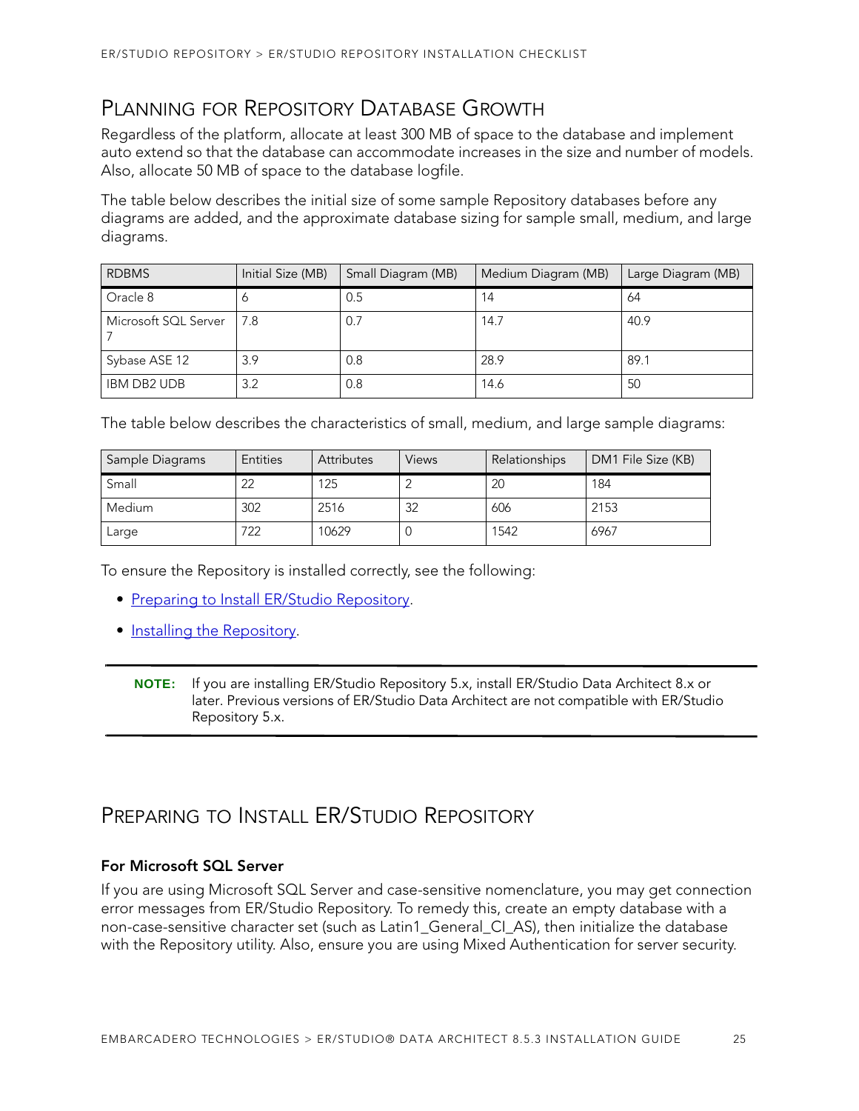## <span id="page-20-0"></span>PLANNING FOR REPOSITORY DATABASE GROWTH

Regardless of the platform, allocate at least 300 MB of space to the database and implement auto extend so that the database can accommodate increases in the size and number of models. Also, allocate 50 MB of space to the database logfile.

The table below describes the initial size of some sample Repository databases before any diagrams are added, and the approximate database sizing for sample small, medium, and large diagrams.

| <b>RDBMS</b>         | Initial Size (MB) | Small Diagram (MB) | Medium Diagram (MB) | Large Diagram (MB) |
|----------------------|-------------------|--------------------|---------------------|--------------------|
| Oracle 8             |                   | 0.5                | 14                  | 64                 |
| Microsoft SQL Server | 7.8               | 0.7                | 14.7                | 40.9               |
| Sybase ASE 12        | 3.9               | 0.8                | 28.9                | 89.1               |
| <b>IBM DB2 UDB</b>   | 3.2               | 0.8                | 14.6                | 50                 |

The table below describes the characteristics of small, medium, and large sample diagrams:

| Sample Diagrams | <b>Entities</b> | <b>Attributes</b> | <b>Views</b> | Relationships | DM1 File Size (KB) |
|-----------------|-----------------|-------------------|--------------|---------------|--------------------|
| Small           | 22              | 125               |              | 20            | 184                |
| <b>Medium</b>   | 302             | 2516              | 32           | 606           | 2153               |
| Large           | 722             | 10629             |              | 1542          | 6967               |

To ensure the Repository is installed correctly, see the following:

- [Preparing to Install ER/Studio Repository](#page-20-1).
- [Installing the Repository](#page-22-0).
	- **NOTE:** If you are installing ER/Studio Repository 5.x, install ER/Studio Data Architect 8.x or later. Previous versions of ER/Studio Data Architect are not compatible with ER/Studio Repository 5.x.

## <span id="page-20-1"></span>PREPARING TO INSTALL ER/STUDIO REPOSITORY

#### **For Microsoft SQL Server**

If you are using Microsoft SQL Server and case-sensitive nomenclature, you may get connection error messages from ER/Studio Repository. To remedy this, create an empty database with a non-case-sensitive character set (such as Latin1 General CI AS), then initialize the database with the Repository utility. Also, ensure you are using Mixed Authentication for server security.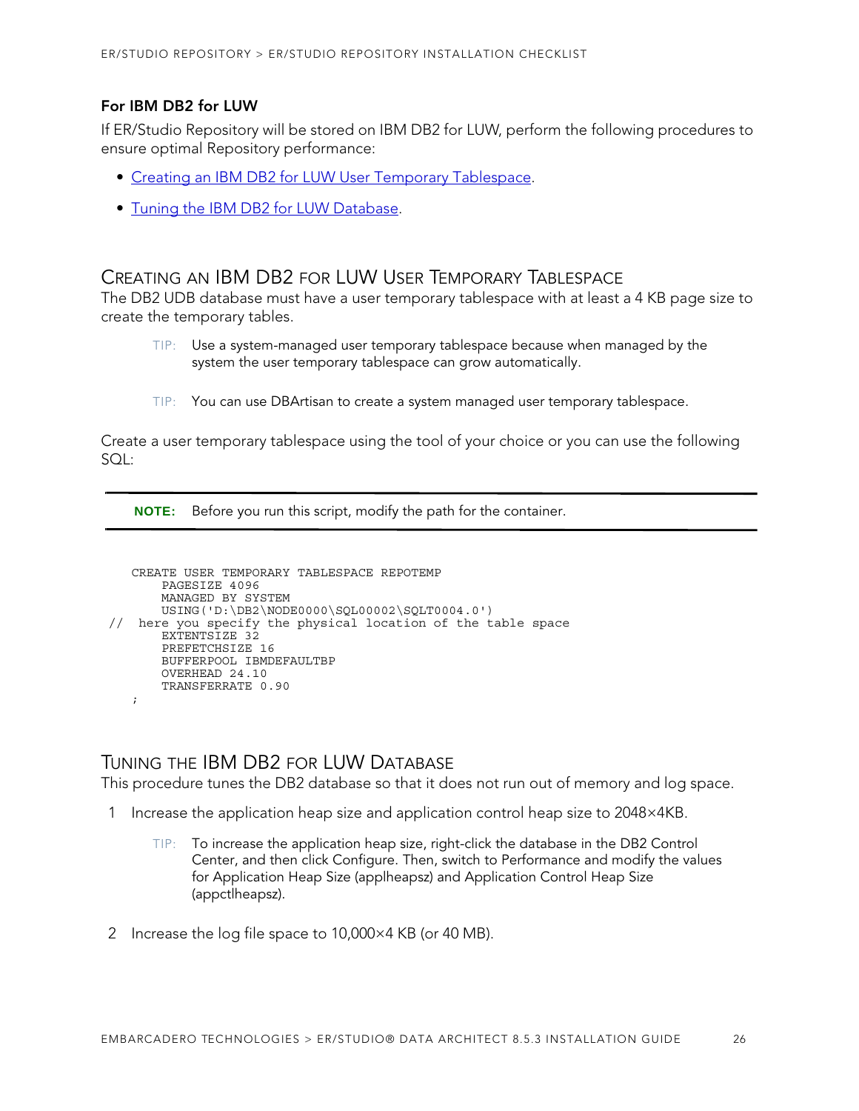#### **For IBM DB2 for LUW**

If ER/Studio Repository will be stored on IBM DB2 for LUW, perform the following procedures to ensure optimal Repository performance:

- [Creating an IBM DB2 for LUW User Temporary Tablespace.](#page-21-0)
- [Tuning the IBM DB2 for LUW Database](#page-21-1).

#### <span id="page-21-0"></span>CREATING AN IBM DB2 FOR LUW USER TEMPORARY TABLESPACE

The DB2 UDB database must have a user temporary tablespace with at least a 4 KB page size to create the temporary tables.

- TIP: Use a system-managed user temporary tablespace because when managed by the system the user temporary tablespace can grow automatically.
- TIP: You can use DBArtisan to create a system managed user temporary tablespace.

Create a user temporary tablespace using the tool of your choice or you can use the following  $SOL:$ 

**NOTE:** Before you run this script, modify the path for the container.

```
CREATE USER TEMPORARY TABLESPACE REPOTEMP
       PAGESIZE 4096
       MANAGED BY SYSTEM
       USING('D:\DB2\NODE0000\SQL00002\SQLT0004.0') 
// here you specify the physical location of the table space 
       EXTENTSIZE 32
       PREFETCHSIZE 16
       BUFFERPOOL IBMDEFAULTBP
       OVERHEAD 24.10
       TRANSFERRATE 0.90
  ;
```
#### <span id="page-21-1"></span>TUNING THE IBM DB2 FOR LUW DATABASE

This procedure tunes the DB2 database so that it does not run out of memory and log space.

- 1 Increase the application heap size and application control heap size to 2048×4KB.
	- TIP: To increase the application heap size, right-click the database in the DB2 Control Center, and then click Configure. Then, switch to Performance and modify the values for Application Heap Size (applheapsz) and Application Control Heap Size (appctlheapsz).
- 2 Increase the log file space to 10,000×4 KB (or 40 MB).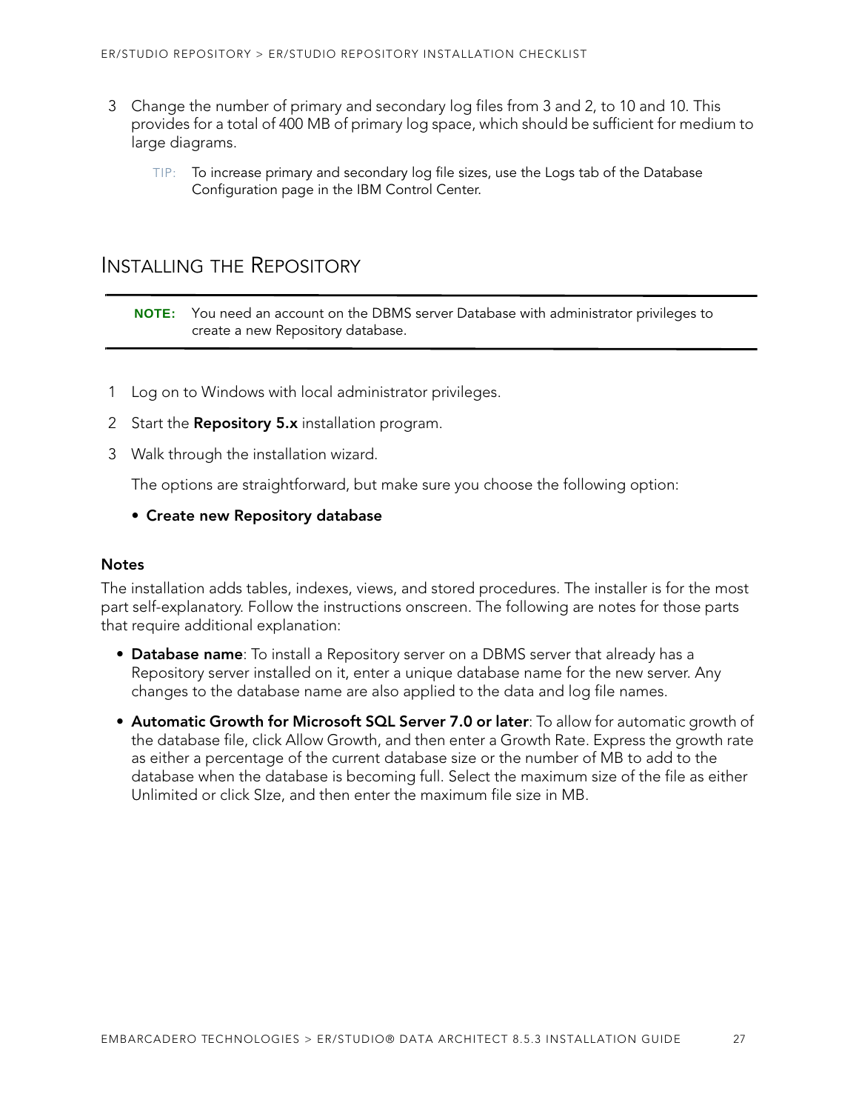- 3 Change the number of primary and secondary log files from 3 and 2, to 10 and 10. This provides for a total of 400 MB of primary log space, which should be sufficient for medium to large diagrams.
	- TIP: To increase primary and secondary log file sizes, use the Logs tab of the Database Configuration page in the IBM Control Center.

### <span id="page-22-0"></span>INSTALLING THE REPOSITORY

**NOTE:** You need an account on the DBMS server Database with administrator privileges to create a new Repository database.

- 1 Log on to Windows with local administrator privileges.
- 2 Start the **Repository 5.x** installation program.
- 3 Walk through the installation wizard.

The options are straightforward, but make sure you choose the following option:

#### **• Create new Repository database**

#### **Notes**

The installation adds tables, indexes, views, and stored procedures. The installer is for the most part self-explanatory. Follow the instructions onscreen. The following are notes for those parts that require additional explanation:

- **Database name**: To install a Repository server on a DBMS server that already has a Repository server installed on it, enter a unique database name for the new server. Any changes to the database name are also applied to the data and log file names.
- <span id="page-22-1"></span>• **[Automatic Growth for Microsoft SQL Server 7.0 or later](#page-22-1)**: To allow for automatic growth of the database file, click Allow Growth, and then enter a Growth Rate. Express the growth rate as either a percentage of the current database size or the number of MB to add to the database when the database is becoming full. Select the maximum size of the file as either Unlimited or click SIze, and then enter the maximum file size in MB.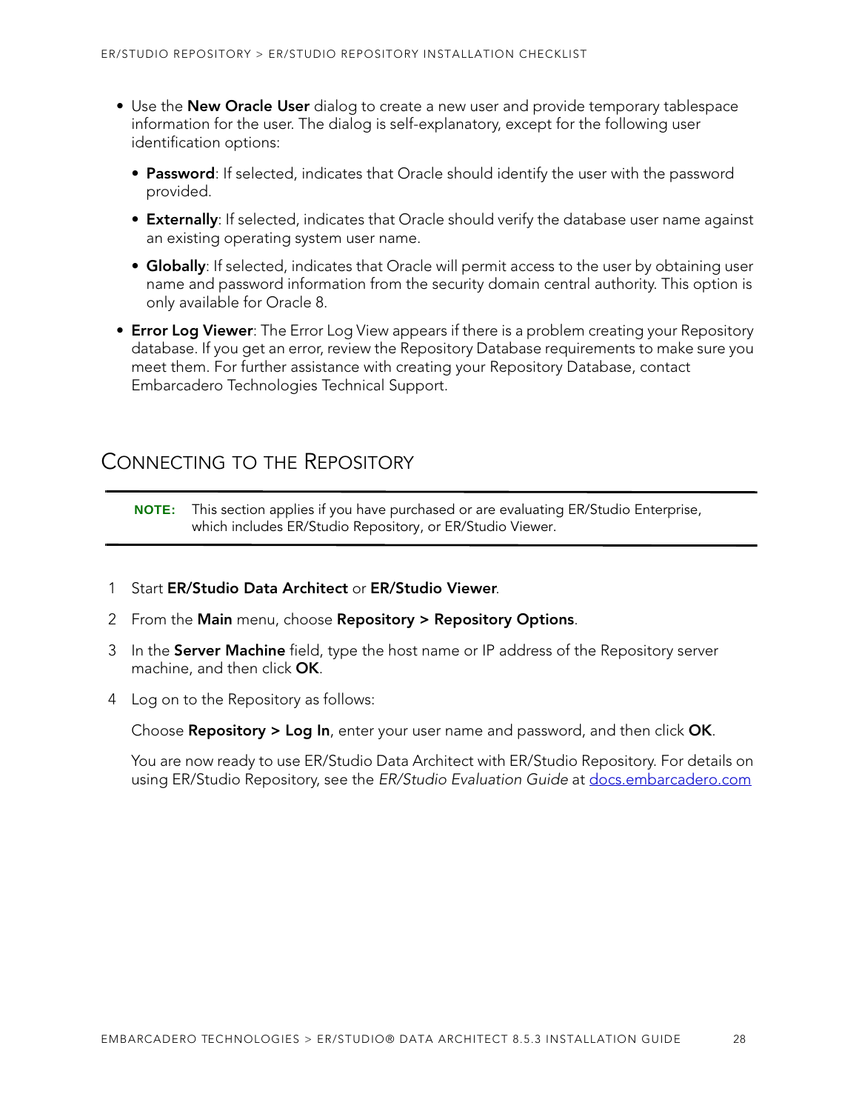- Use the **New Oracle User** dialog to create a new user and provide temporary tablespace information for the user. The dialog is self-explanatory, except for the following user identification options:
	- **Password**: If selected, indicates that Oracle should identify the user with the password provided.
	- **Externally**: If selected, indicates that Oracle should verify the database user name against an existing operating system user name.
	- **Globally**: If selected, indicates that Oracle will permit access to the user by obtaining user name and password information from the security domain central authority. This option is only available for Oracle 8.
- **Error Log Viewer**: The Error Log View appears if there is a problem creating your Repository database. If you get an error, review the Repository Database requirements to make sure you meet them. For further assistance with creating your Repository Database, contact Embarcadero Technologies Technical Support.

### <span id="page-23-0"></span>CONNECTING TO THE REPOSITORY

**NOTE:** This section applies if you have purchased or are evaluating ER/Studio Enterprise, which includes ER/Studio Repository, or ER/Studio Viewer.

- 1 Start **ER/Studio Data Architect** or **ER/Studio Viewer**.
- 2 From the **Main** menu, choose **Repository > Repository Options**.
- 3 In the **Server Machine** field, type the host name or IP address of the Repository server machine, and then click **OK**.
- 4 Log on to the Repository as follows:

Choose **Repository > Log In**, enter your user name and password, and then click **OK**.

You are now ready to use ER/Studio Data Architect with ER/Studio Repository. For details on using ER/Studio Repository, see the ER/Studio Evaluation Guide at [docs.embarcadero.com](http://docs.embarcadero.com)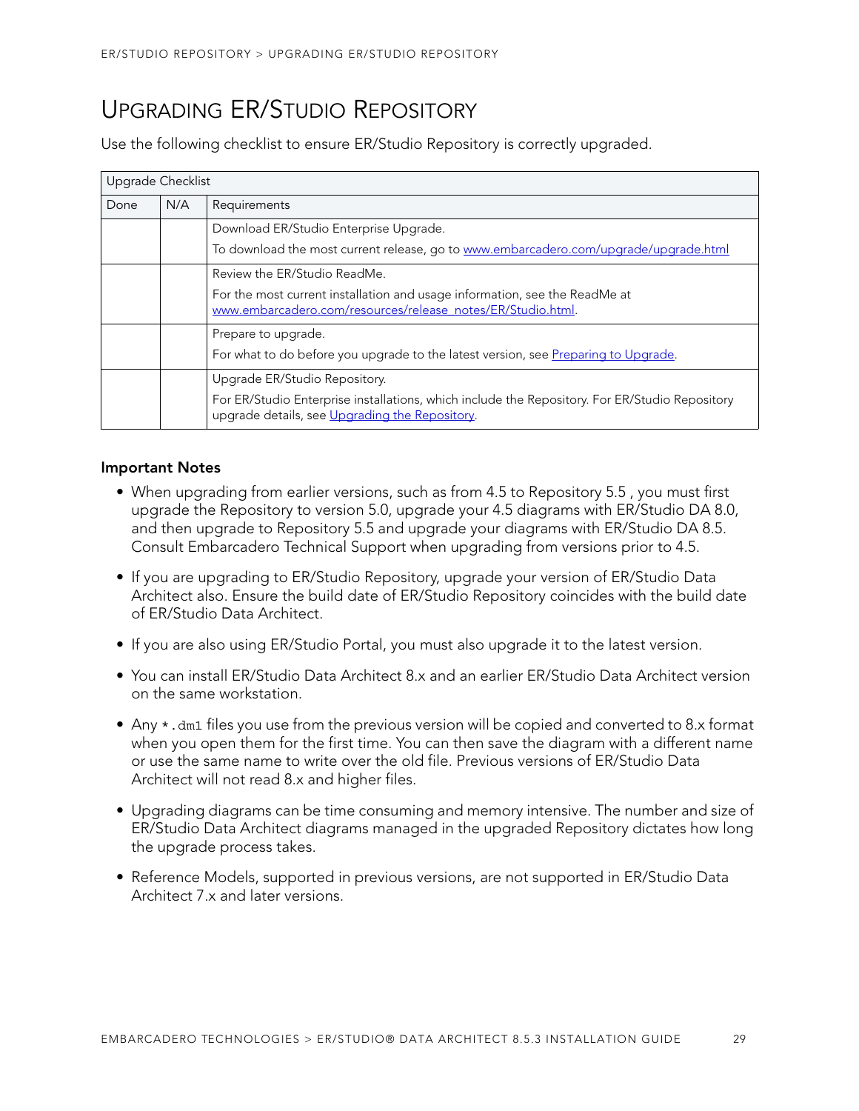## <span id="page-24-0"></span>UPGRADING ER/STUDIO REPOSITORY

Use the following checklist to ensure ER/Studio Repository is correctly upgraded.

| Upgrade Checklist |     |                                                                                                                                                  |
|-------------------|-----|--------------------------------------------------------------------------------------------------------------------------------------------------|
| Done              | N/A | Requirements                                                                                                                                     |
|                   |     | Download ER/Studio Enterprise Upgrade.                                                                                                           |
|                   |     | To download the most current release, go to www.embarcadero.com/upgrade/upgrade.html                                                             |
|                   |     | Review the ER/Studio ReadMe.                                                                                                                     |
|                   |     | For the most current installation and usage information, see the ReadMe at<br>www.embarcadero.com/resources/release_notes/ER/Studio.html.        |
|                   |     | Prepare to upgrade.                                                                                                                              |
|                   |     | For what to do before you upgrade to the latest version, see Preparing to Upgrade.                                                               |
|                   |     | Upgrade ER/Studio Repository.                                                                                                                    |
|                   |     | For ER/Studio Enterprise installations, which include the Repository. For ER/Studio Repository<br>upgrade details, see Upgrading the Repository. |

#### **Important Notes**

- When upgrading from earlier versions, such as from 4.5 to Repository 5.5 , you must first upgrade the Repository to version 5.0, upgrade your 4.5 diagrams with ER/Studio DA 8.0, and then upgrade to Repository 5.5 and upgrade your diagrams with ER/Studio DA 8.5. Consult Embarcadero Technical Support when upgrading from versions prior to 4.5.
- If you are upgrading to ER/Studio Repository, upgrade your version of ER/Studio Data Architect also. Ensure the build date of ER/Studio Repository coincides with the build date of ER/Studio Data Architect.
- If you are also using ER/Studio Portal, you must also upgrade it to the latest version.
- You can install ER/Studio Data Architect 8.x and an earlier ER/Studio Data Architect version on the same workstation.
- Any \*.dm1 files you use from the previous version will be copied and converted to 8.x format when you open them for the first time. You can then save the diagram with a different name or use the same name to write over the old file. Previous versions of ER/Studio Data Architect will not read 8.x and higher files.
- Upgrading diagrams can be time consuming and memory intensive. The number and size of ER/Studio Data Architect diagrams managed in the upgraded Repository dictates how long the upgrade process takes.
- Reference Models, supported in previous versions, are not supported in ER/Studio Data Architect 7.x and later versions.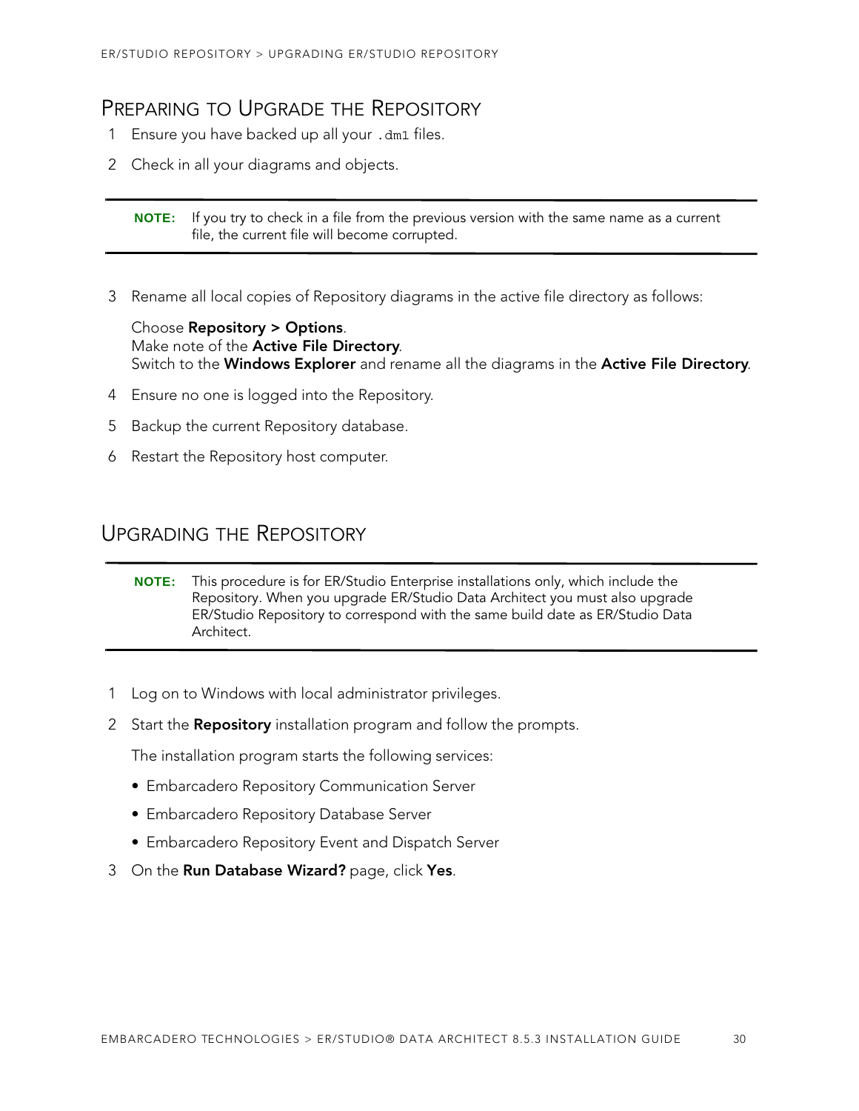## <span id="page-25-0"></span>PREPARING TO UPGRADE THE REPOSITORY

- 1 Ensure you have backed up all your .dm1 files.
- 2 Check in all your diagrams and objects.

**NOTE:** If you try to check in a file from the previous version with the same name as a current file, the current file will become corrupted.

3 Rename all local copies of Repository diagrams in the active file directory as follows:

Choose **Repository > Options**. Make note of the **Active File Directory**. Switch to the **Windows Explorer** and rename all the diagrams in the **Active File Directory**.

- 4 Ensure no one is logged into the Repository.
- 5 Backup the current Repository database.
- 6 Restart the Repository host computer.

### <span id="page-25-1"></span>UPGRADING THE REPOSITORY

**NOTE:** This procedure is for ER/Studio Enterprise installations only, which include the Repository. When you upgrade ER/Studio Data Architect you must also upgrade ER/Studio Repository to correspond with the same build date as ER/Studio Data Architect.

- 1 Log on to Windows with local administrator privileges.
- 2 Start the **Repository** installation program and follow the prompts.

The installation program starts the following services:

- Embarcadero Repository Communication Server
- Embarcadero Repository Database Server
- Embarcadero Repository Event and Dispatch Server
- 3 On the **Run Database Wizard?** page, click **Yes**.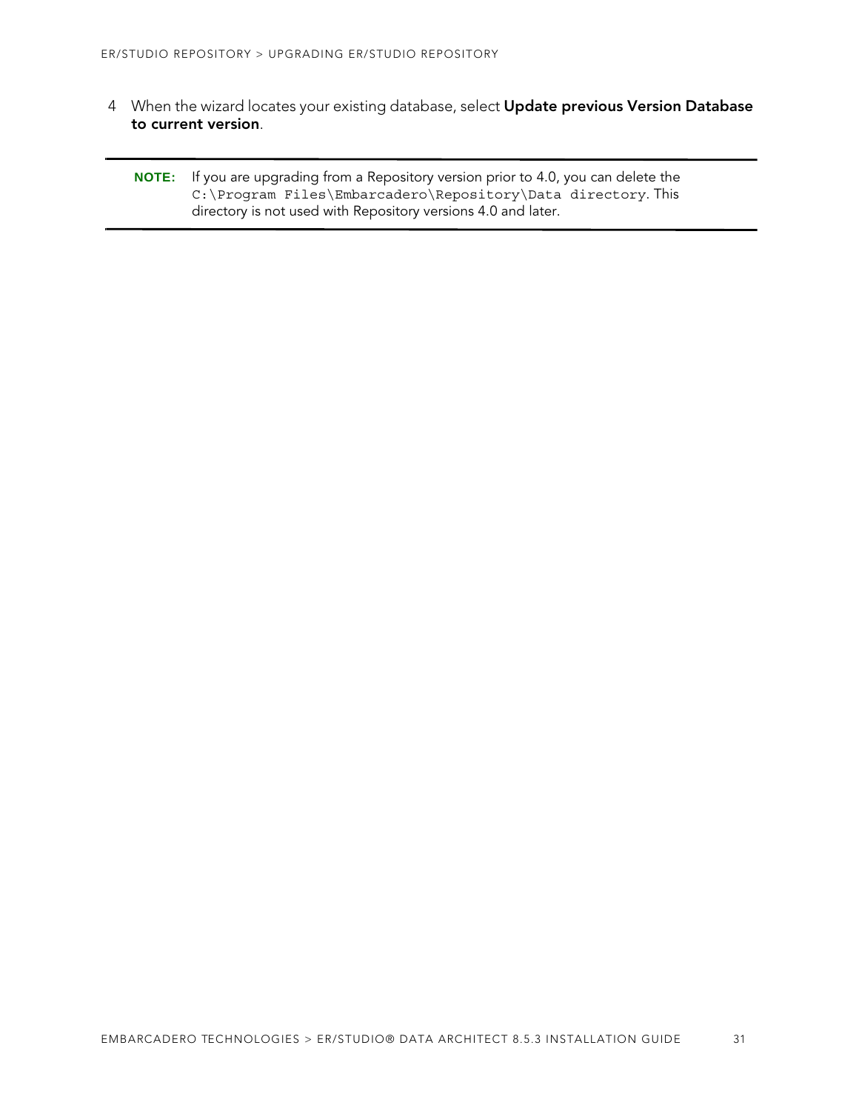4 When the wizard locates your existing database, select **Update previous Version Database to current version**.

**NOTE:** If you are upgrading from a Repository version prior to 4.0, you can delete the C:\Program Files\Embarcadero\Repository\Data directory. This directory is not used with Repository versions 4.0 and later.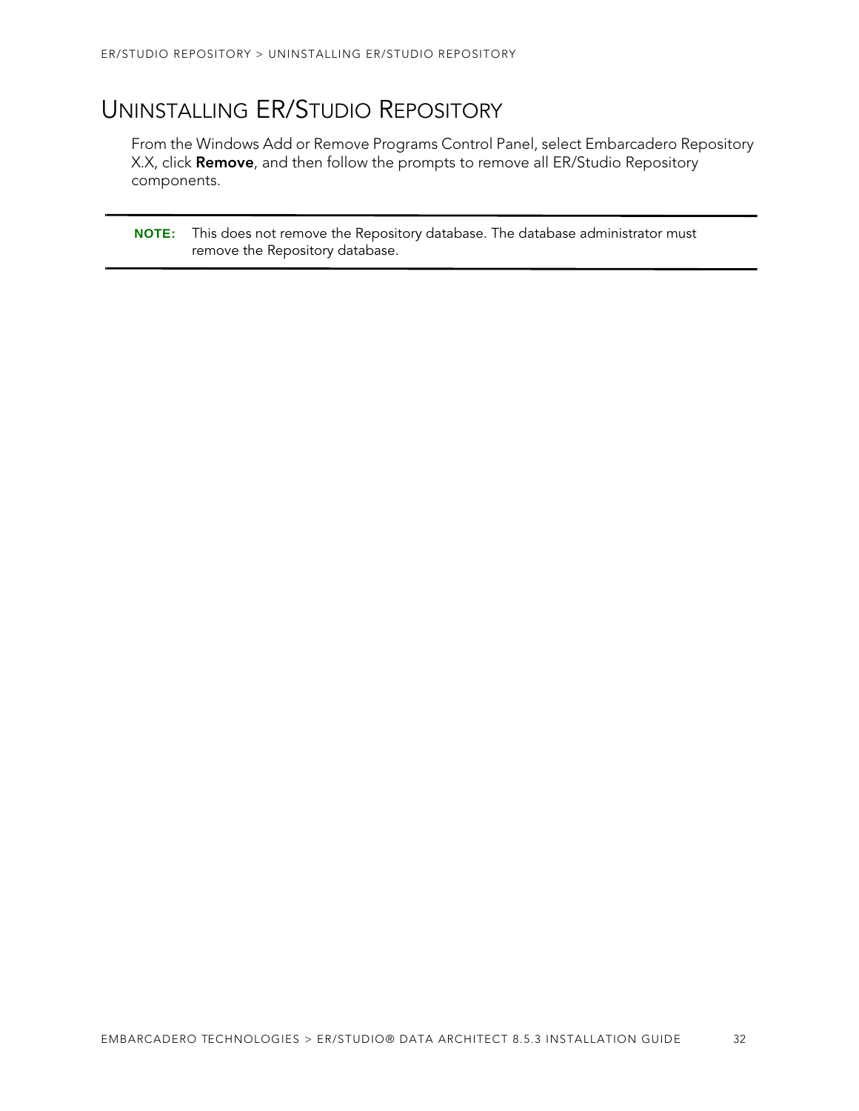## <span id="page-27-0"></span>UNINSTALLING ER/STUDIO REPOSITORY

From the Windows Add or Remove Programs Control Panel, select Embarcadero Repository X.X, click **Remove**, and then follow the prompts to remove all ER/Studio Repository components.

**NOTE:** This does not remove the Repository database. The database administrator must remove the Repository database.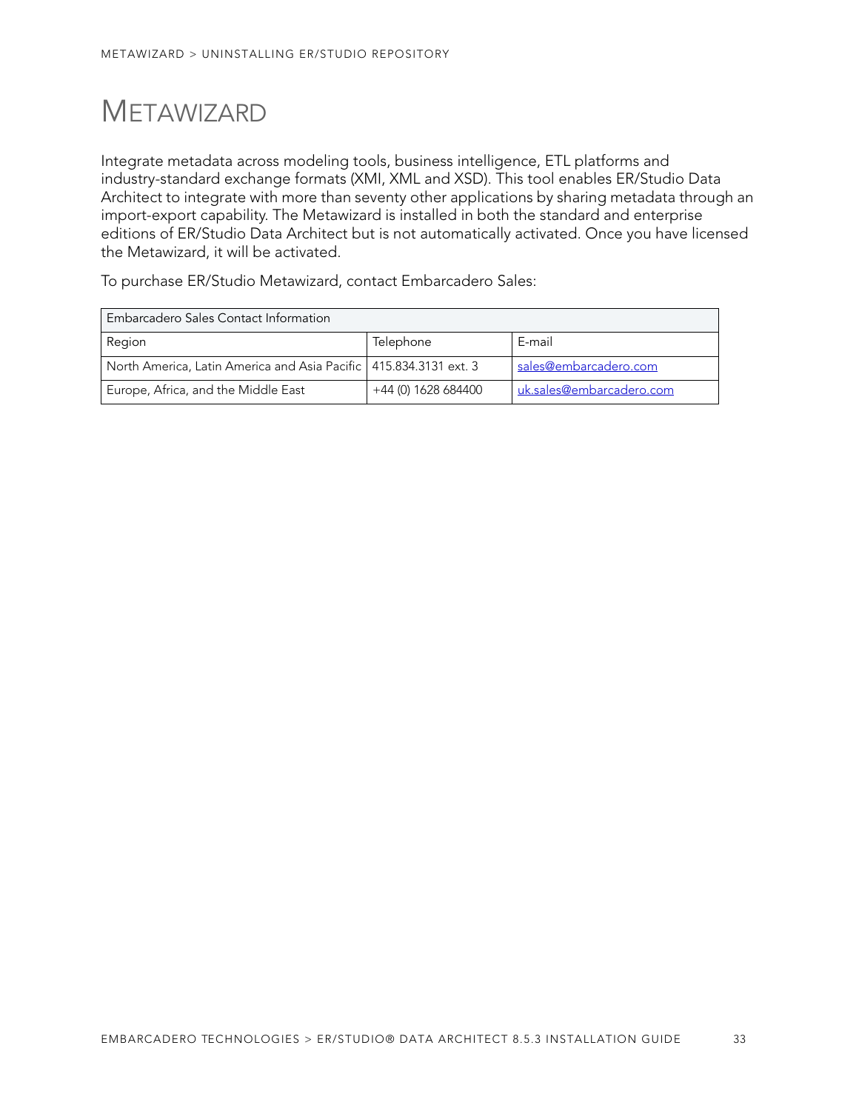# <span id="page-28-0"></span>**METAWIZARD**

Integrate metadata across modeling tools, business intelligence, ETL platforms and industry-standard exchange formats (XMI, XML and XSD). This tool enables ER/Studio Data Architect to integrate with more than seventy other applications by sharing metadata through an import-export capability. The Metawizard is installed in both the standard and enterprise editions of ER/Studio Data Architect but is not automatically activated. Once you have licensed the Metawizard, it will be activated.

To purchase ER/Studio Metawizard, contact Embarcadero Sales:

| Embarcadero Sales Contact Information                               |                     |                          |  |
|---------------------------------------------------------------------|---------------------|--------------------------|--|
| Region                                                              | Telephone           | E-mail                   |  |
| North America, Latin America and Asia Pacific   415.834.3131 ext. 3 |                     | sales@embarcadero.com    |  |
| Europe, Africa, and the Middle East                                 | +44 (0) 1628 684400 | uk.sales@embarcadero.com |  |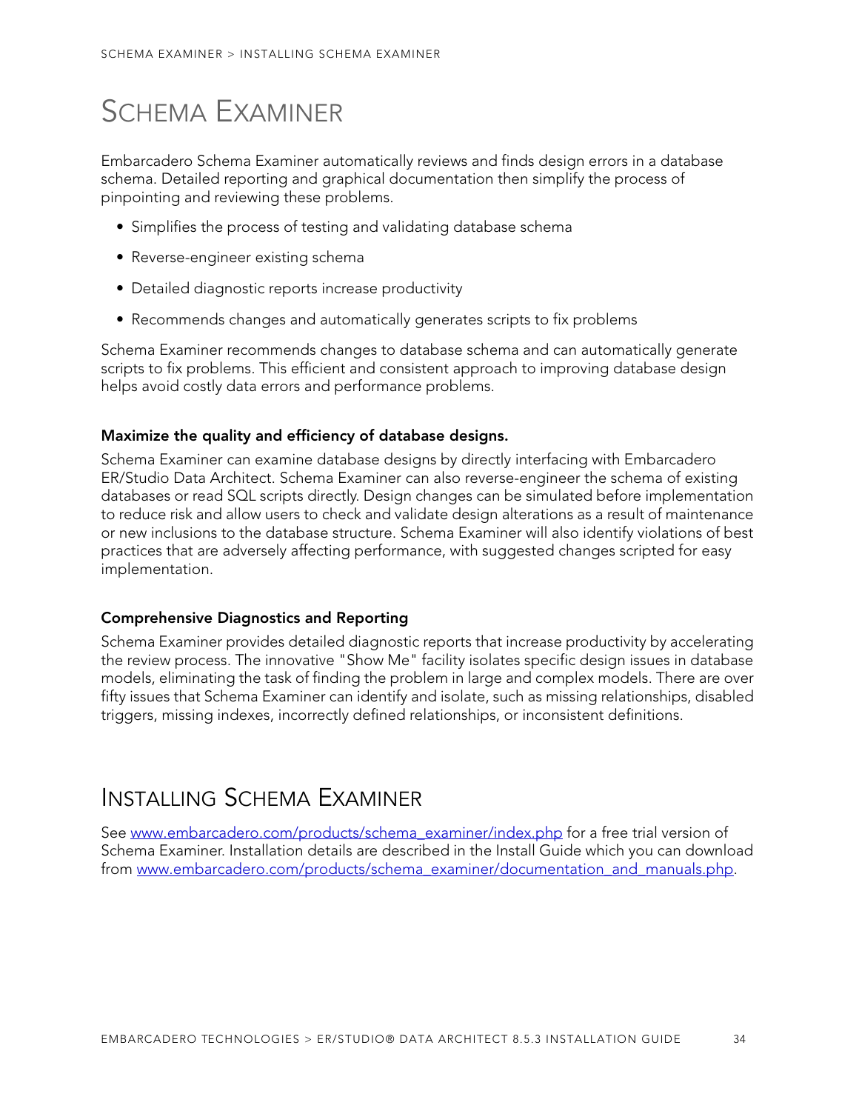# <span id="page-29-0"></span>SCHEMA EXAMINER

Embarcadero Schema Examiner automatically reviews and finds design errors in a database schema. Detailed reporting and graphical documentation then simplify the process of pinpointing and reviewing these problems.

- Simplifies the process of testing and validating database schema
- Reverse-engineer existing schema
- Detailed diagnostic reports increase productivity
- Recommends changes and automatically generates scripts to fix problems

Schema Examiner recommends changes to database schema and can automatically generate scripts to fix problems. This efficient and consistent approach to improving database design helps avoid costly data errors and performance problems.

#### **Maximize the quality and efficiency of database designs.**

Schema Examiner can examine database designs by directly interfacing with Embarcadero ER/Studio Data Architect. Schema Examiner can also reverse-engineer the schema of existing databases or read SQL scripts directly. Design changes can be simulated before implementation to reduce risk and allow users to check and validate design alterations as a result of maintenance or new inclusions to the database structure. Schema Examiner will also identify violations of best practices that are adversely affecting performance, with suggested changes scripted for easy implementation.

#### **Comprehensive Diagnostics and Reporting**

Schema Examiner provides detailed diagnostic reports that increase productivity by accelerating the review process. The innovative "Show Me" facility isolates specific design issues in database models, eliminating the task of finding the problem in large and complex models. There are over fifty issues that Schema Examiner can identify and isolate, such as missing relationships, disabled triggers, missing indexes, incorrectly defined relationships, or inconsistent definitions.

## <span id="page-29-1"></span>INSTALLING SCHEMA EXAMINER

See www.embarcadero.com/products/schema\_examiner/index.php for a free trial version of Schema Examiner. Installation details are described in the Install Guide which you can download from www.embarcadero.com/products/schema\_examiner/documentation\_and\_manuals.php.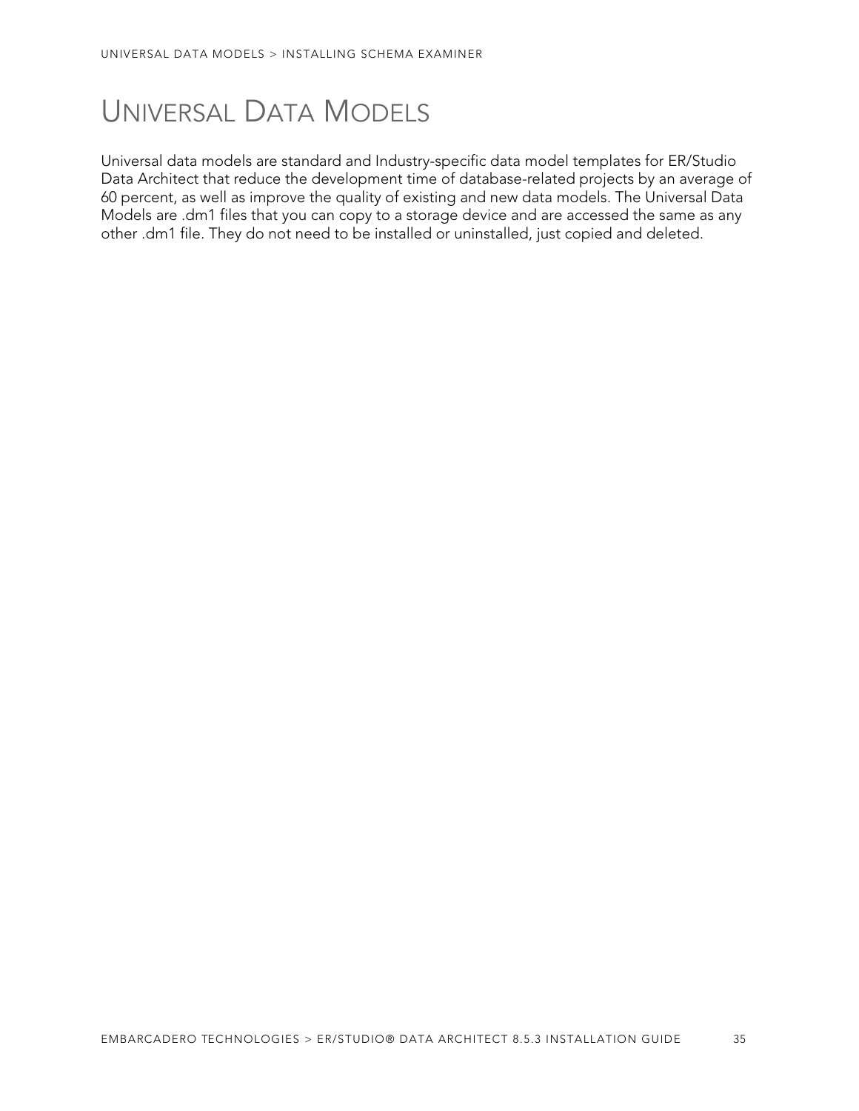# <span id="page-30-0"></span>UNIVERSAL DATA MODELS

Universal data models are standard and Industry-specific data model templates for ER/Studio Data Architect that reduce the development time of database-related projects by an average of 60 percent, as well as improve the quality of existing and new data models. The Universal Data Models are .dm1 files that you can copy to a storage device and are accessed the same as any other .dm1 file. They do not need to be installed or uninstalled, just copied and deleted.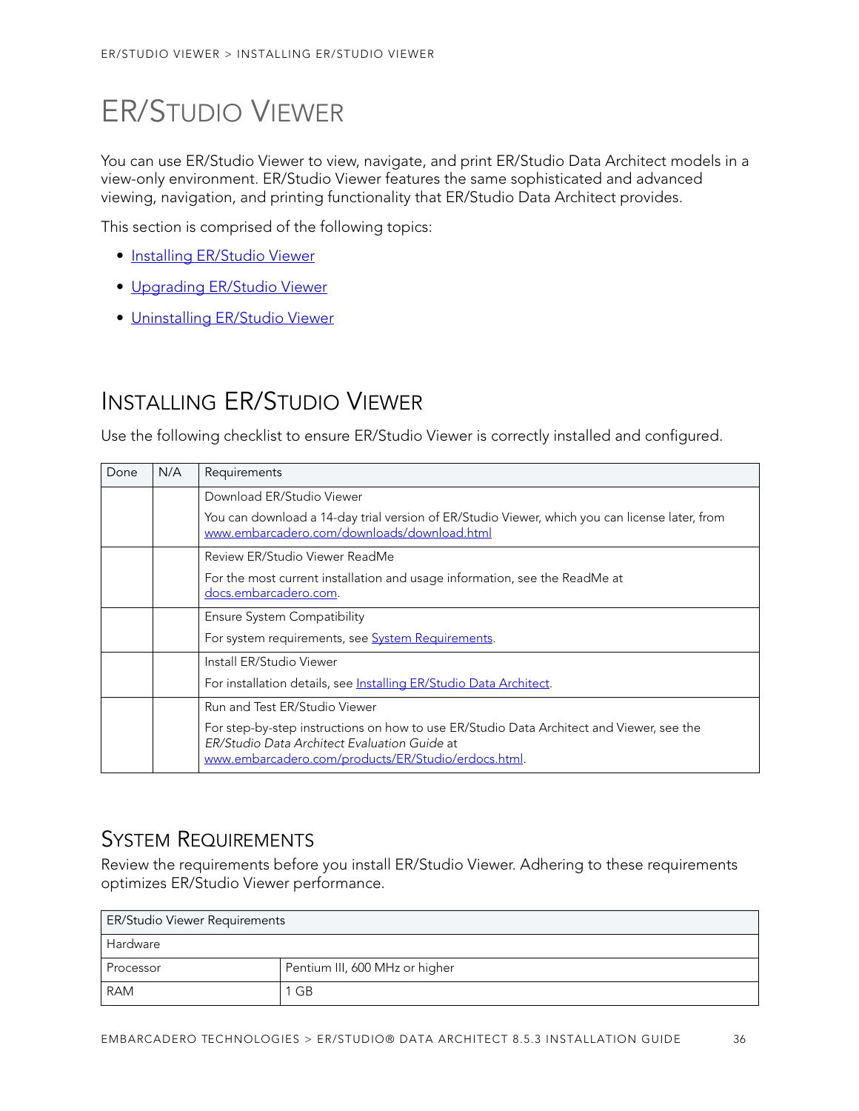# <span id="page-31-0"></span>ER/STUDIO VIEWER

You can use ER/Studio Viewer to view, navigate, and print ER/Studio Data Architect models in a view-only environment. ER/Studio Viewer features the same sophisticated and advanced viewing, navigation, and printing functionality that ER/Studio Data Architect provides.

This section is comprised of the following topics:

- [Installing ER/Studio Viewer](#page-31-1)
- [Upgrading ER/Studio Viewer](#page-33-0)
- [Uninstalling ER/Studio Viewer](#page-33-2)

## <span id="page-31-1"></span>INSTALLING ER/STUDIO VIEWER

Use the following checklist to ensure ER/Studio Viewer is correctly installed and configured.

| Done | N/A | Requirements                                                                                                                                                                                    |
|------|-----|-------------------------------------------------------------------------------------------------------------------------------------------------------------------------------------------------|
|      |     | Download ER/Studio Viewer                                                                                                                                                                       |
|      |     | You can download a 14-day trial version of ER/Studio Viewer, which you can license later, from<br>www.embarcadero.com/downloads/download.html                                                   |
|      |     | Review ER/Studio Viewer ReadMe                                                                                                                                                                  |
|      |     | For the most current installation and usage information, see the ReadMe at<br>docs.embarcadero.com.                                                                                             |
|      |     | Ensure System Compatibility                                                                                                                                                                     |
|      |     | For system requirements, see <b>System Requirements</b> .                                                                                                                                       |
|      |     | Install ER/Studio Viewer                                                                                                                                                                        |
|      |     | For installation details, see Installing ER/Studio Data Architect.                                                                                                                              |
|      |     | Run and Test ER/Studio Viewer                                                                                                                                                                   |
|      |     | For step-by-step instructions on how to use ER/Studio Data Architect and Viewer, see the<br>ER/Studio Data Architect Evaluation Guide at<br>www.embarcadero.com/products/ER/Studio/erdocs.html. |

### <span id="page-31-2"></span>SYSTEM REQUIREMENTS

Review the requirements before you install ER/Studio Viewer. Adhering to these requirements optimizes ER/Studio Viewer performance.

| ER/Studio Viewer Requirements |                                |  |
|-------------------------------|--------------------------------|--|
| Hardware                      |                                |  |
| Processor                     | Pentium III, 600 MHz or higher |  |
| <b>RAM</b>                    | GB                             |  |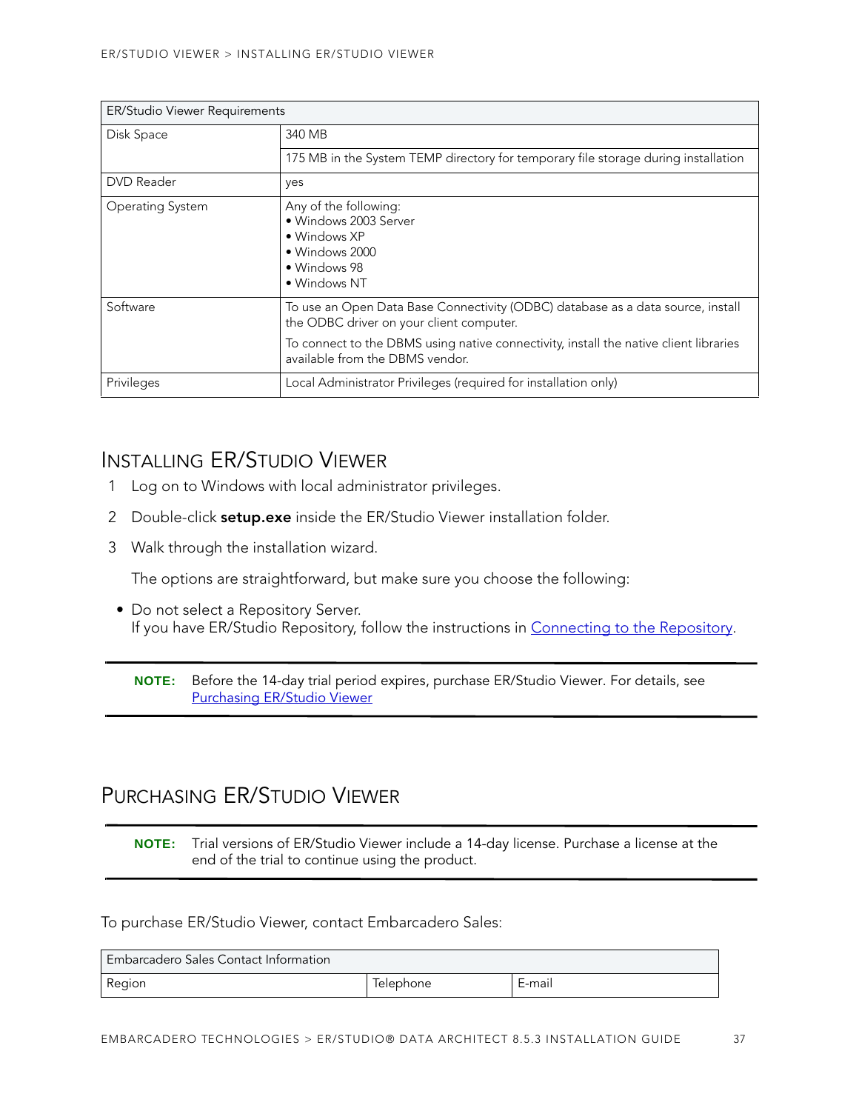| ER/Studio Viewer Requirements |                                                                                                                                                                                                                                                         |  |
|-------------------------------|---------------------------------------------------------------------------------------------------------------------------------------------------------------------------------------------------------------------------------------------------------|--|
| Disk Space                    | 340 MB                                                                                                                                                                                                                                                  |  |
|                               | 175 MB in the System TEMP directory for temporary file storage during installation                                                                                                                                                                      |  |
| <b>DVD</b> Reader             | yes                                                                                                                                                                                                                                                     |  |
| Operating System              | Any of the following:<br>· Windows 2003 Server<br>• Windows XP<br>• Windows 2000<br>• Windows 98<br>• Windows NT                                                                                                                                        |  |
| Software                      | To use an Open Data Base Connectivity (ODBC) database as a data source, install<br>the ODBC driver on your client computer.<br>To connect to the DBMS using native connectivity, install the native client libraries<br>available from the DBMS vendor. |  |
| Privileges                    | Local Administrator Privileges (required for installation only)                                                                                                                                                                                         |  |

### <span id="page-32-0"></span>INSTALLING ER/STUDIO VIEWER

- 1 Log on to Windows with local administrator privileges.
- 2 Double-click **setup.exe** inside the ER/Studio Viewer installation folder.
- 3 Walk through the installation wizard.

The options are straightforward, but make sure you choose the following:

• Do not select a Repository Server. If you have ER/Studio Repository, follow the instructions in [Connecting to the Repository](#page-23-0).

**NOTE:** Before the 14-day trial period expires, purchase ER/Studio Viewer. For details, see [Purchasing ER/Studio Viewer](#page-32-1)

## <span id="page-32-1"></span>PURCHASING ER/STUDIO VIEWER

**NOTE:** Trial versions of ER/Studio Viewer include a 14-day license. Purchase a license at the end of the trial to continue using the product.

#### To purchase ER/Studio Viewer, contact Embarcadero Sales:

| Embarcadero Sales Contact Information |           |        |
|---------------------------------------|-----------|--------|
| Region                                | lelephone | E-mail |